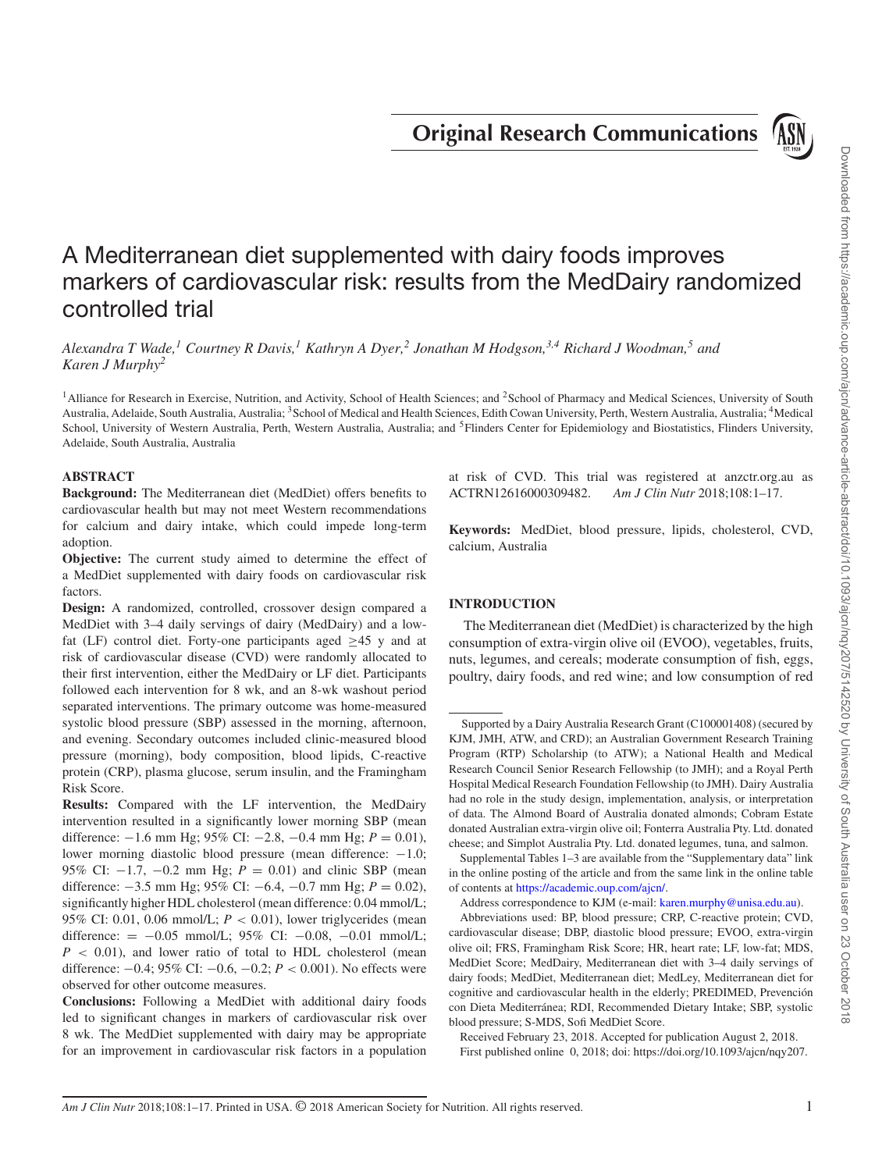**Original Research Communications**



# A Mediterranean diet supplemented with dairy foods improves markers of cardiovascular risk: results from the MedDairy randomized controlled trial

*Alexandra T Wade,1 Courtney R Davis,1 Kathryn A Dyer,<sup>2</sup> Jonathan M Hodgson,3,4 Richard J Woodman,5 and Karen J Murphy<sup>2</sup>*

<sup>1</sup>Alliance for Research in Exercise, Nutrition, and Activity, School of Health Sciences; and <sup>2</sup>School of Pharmacy and Medical Sciences, University of South Australia, Adelaide, South Australia, Australia; <sup>3</sup> School of Medical and Health Sciences, Edith Cowan University, Perth, Western Australia, Australia; <sup>4</sup>Medical School, University of Western Australia, Perth, Western Australia, Australia; and <sup>5</sup>Flinders Center for Epidemiology and Biostatistics, Flinders University, Adelaide, South Australia, Australia

# **ABSTRACT**

**Background:** The Mediterranean diet (MedDiet) offers benefits to cardiovascular health but may not meet Western recommendations for calcium and dairy intake, which could impede long-term adoption.

**Objective:** The current study aimed to determine the effect of a MedDiet supplemented with dairy foods on cardiovascular risk factors.

**Design:** A randomized, controlled, crossover design compared a MedDiet with 3–4 daily servings of dairy (MedDairy) and a lowfat (LF) control diet. Forty-one participants aged  $\geq 45$  y and at risk of cardiovascular disease (CVD) were randomly allocated to their first intervention, either the MedDairy or LF diet. Participants followed each intervention for 8 wk, and an 8-wk washout period separated interventions. The primary outcome was home-measured systolic blood pressure (SBP) assessed in the morning, afternoon, and evening. Secondary outcomes included clinic-measured blood pressure (morning), body composition, blood lipids, C-reactive protein (CRP), plasma glucose, serum insulin, and the Framingham Risk Score.

**Results:** Compared with the LF intervention, the MedDairy intervention resulted in a significantly lower morning SBP (mean difference: −1.6 mm Hg; 95% CI: −2.8, −0.4 mm Hg; *P* = 0.01), lower morning diastolic blood pressure (mean difference: −1.0; 95% CI: −1.7, −0.2 mm Hg; *P* = 0.01) and clinic SBP (mean difference: −3.5 mm Hg; 95% CI: −6.4, −0.7 mm Hg; *P* = 0.02), significantly higher HDL cholesterol (mean difference: 0.04 mmol/L; 95% CI: 0.01, 0.06 mmol/L;  $P < 0.01$ ), lower triglycerides (mean difference:  $= -0.05$  mmol/L; 95% CI:  $-0.08$ ,  $-0.01$  mmol/L;  $P$  < 0.01), and lower ratio of total to HDL cholesterol (mean difference: −0.4; 95% CI: −0.6, −0.2; *P* < 0.001). No effects were observed for other outcome measures.

**Conclusions:** Following a MedDiet with additional dairy foods led to significant changes in markers of cardiovascular risk over 8 wk. The MedDiet supplemented with dairy may be appropriate for an improvement in cardiovascular risk factors in a population at risk of CVD. This trial was registered at anzctr.org.au as ACTRN12616000309482. *Am J Clin Nutr* 2018;108:1–17.

**Keywords:** MedDiet, blood pressure, lipids, cholesterol, CVD, calcium, Australia

# **INTRODUCTION**

The Mediterranean diet (MedDiet) is characterized by the high consumption of extra-virgin olive oil (EVOO), vegetables, fruits, nuts, legumes, and cereals; moderate consumption of fish, eggs, poultry, dairy foods, and red wine; and low consumption of red

Supplemental Tables 1–3 are available from the "Supplementary data" link in the online posting of the article and from the same link in the online table of contents at [https://academic.oup.com/ajcn/.](https://academic.oup.com/ajcn/)

Address correspondence to KJM (e-mail: [karen.murphy@unisa.edu.au\)](mailto:karen.murphy@unisa.edu.au).

Abbreviations used: BP, blood pressure; CRP, C-reactive protein; CVD, cardiovascular disease; DBP, diastolic blood pressure; EVOO, extra-virgin olive oil; FRS, Framingham Risk Score; HR, heart rate; LF, low-fat; MDS, MedDiet Score; MedDairy, Mediterranean diet with 3–4 daily servings of dairy foods; MedDiet, Mediterranean diet; MedLey, Mediterranean diet for cognitive and cardiovascular health in the elderly; PREDIMED, Prevención con Dieta Mediterránea; RDI, Recommended Dietary Intake; SBP, systolic blood pressure; S-MDS, Sofi MedDiet Score.

Received February 23, 2018. Accepted for publication August 2, 2018. First published online 0, 2018; doi: https://doi.org/10.1093/ajcn/nqy207.

Supported by a Dairy Australia Research Grant (C100001408) (secured by KJM, JMH, ATW, and CRD); an Australian Government Research Training Program (RTP) Scholarship (to ATW); a National Health and Medical Research Council Senior Research Fellowship (to JMH); and a Royal Perth Hospital Medical Research Foundation Fellowship (to JMH). Dairy Australia had no role in the study design, implementation, analysis, or interpretation of data. The Almond Board of Australia donated almonds; Cobram Estate donated Australian extra-virgin olive oil; Fonterra Australia Pty. Ltd. donated cheese; and Simplot Australia Pty. Ltd. donated legumes, tuna, and salmon.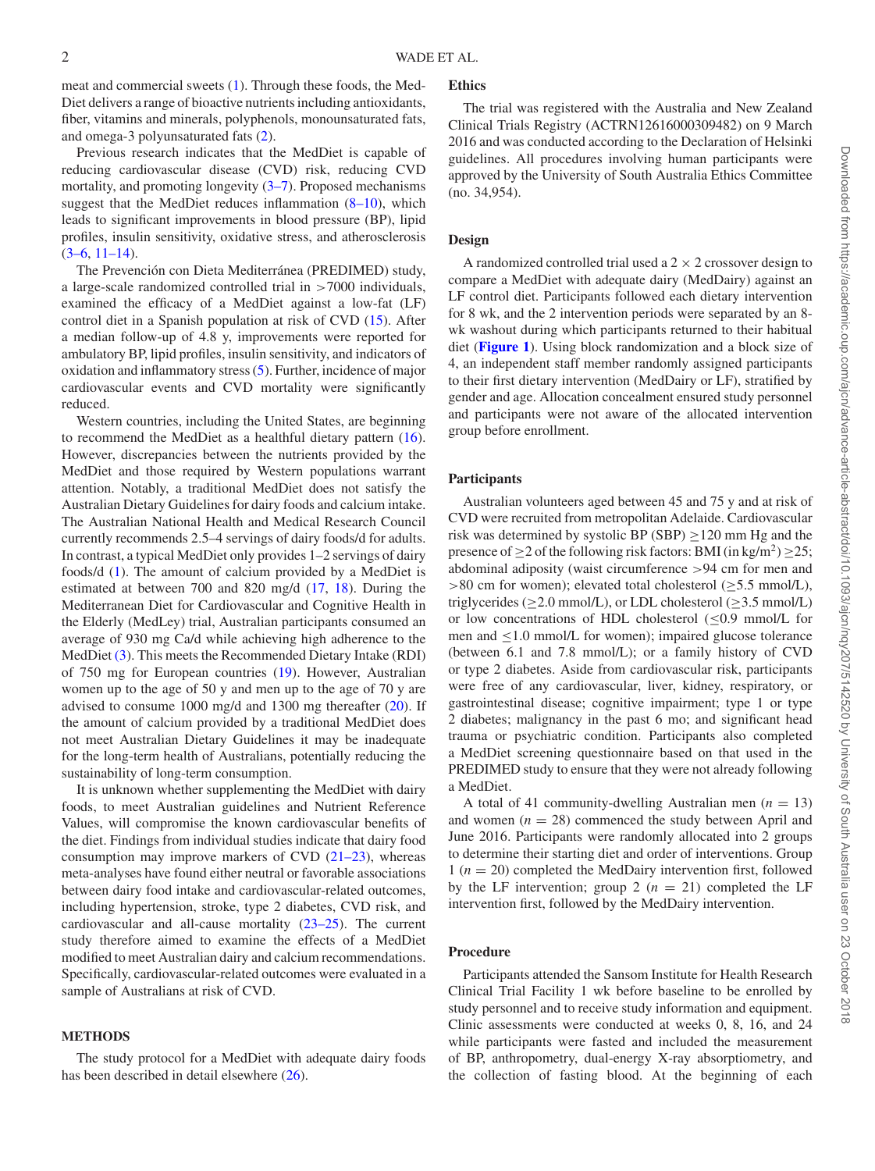meat and commercial sweets [\(1\)](#page-14-0). Through these foods, the Med-Diet delivers a range of bioactive nutrients including antioxidants, fiber, vitamins and minerals, polyphenols, monounsaturated fats, and omega-3 polyunsaturated fats [\(2\)](#page-14-1).

Previous research indicates that the MedDiet is capable of reducing cardiovascular disease (CVD) risk, reducing CVD mortality, and promoting longevity  $(3-7)$ . Proposed mechanisms suggest that the MedDiet reduces inflammation [\(8–10\)](#page-15-1), which leads to significant improvements in blood pressure (BP), lipid profiles, insulin sensitivity, oxidative stress, and atherosclerosis  $(3-6, 11-14)$ .

The Prevención con Dieta Mediterránea (PREDIMED) study, a large-scale randomized controlled trial in >7000 individuals, examined the efficacy of a MedDiet against a low-fat (LF) control diet in a Spanish population at risk of CVD [\(15\)](#page-15-3). After a median follow-up of 4.8 y, improvements were reported for ambulatory BP, lipid profiles, insulin sensitivity, and indicators of oxidation and inflammatory stress [\(5\)](#page-15-4). Further, incidence of major cardiovascular events and CVD mortality were significantly reduced.

Western countries, including the United States, are beginning to recommend the MedDiet as a healthful dietary pattern [\(16\)](#page-15-5). However, discrepancies between the nutrients provided by the MedDiet and those required by Western populations warrant attention. Notably, a traditional MedDiet does not satisfy the Australian Dietary Guidelines for dairy foods and calcium intake. The Australian National Health and Medical Research Council currently recommends 2.5–4 servings of dairy foods/d for adults. In contrast, a typical MedDiet only provides 1–2 servings of dairy foods/d [\(1\)](#page-14-0). The amount of calcium provided by a MedDiet is estimated at between 700 and 820 mg/d [\(17,](#page-15-6) [18\)](#page-15-7). During the Mediterranean Diet for Cardiovascular and Cognitive Health in the Elderly (MedLey) trial, Australian participants consumed an average of 930 mg Ca/d while achieving high adherence to the MedDiet [\(3\)](#page-15-0). This meets the Recommended Dietary Intake (RDI) of 750 mg for European countries [\(19\)](#page-15-8). However, Australian women up to the age of 50 y and men up to the age of 70 y are advised to consume 1000 mg/d and 1300 mg thereafter [\(20\)](#page-15-9). If the amount of calcium provided by a traditional MedDiet does not meet Australian Dietary Guidelines it may be inadequate for the long-term health of Australians, potentially reducing the sustainability of long-term consumption.

It is unknown whether supplementing the MedDiet with dairy foods, to meet Australian guidelines and Nutrient Reference Values, will compromise the known cardiovascular benefits of the diet. Findings from individual studies indicate that dairy food consumption may improve markers of CVD [\(21–23\)](#page-15-10), whereas meta-analyses have found either neutral or favorable associations between dairy food intake and cardiovascular-related outcomes, including hypertension, stroke, type 2 diabetes, CVD risk, and cardiovascular and all-cause mortality [\(23–25\)](#page-15-11). The current study therefore aimed to examine the effects of a MedDiet modified to meet Australian dairy and calcium recommendations. Specifically, cardiovascular-related outcomes were evaluated in a sample of Australians at risk of CVD.

#### **METHODS**

The study protocol for a MedDiet with adequate dairy foods has been described in detail elsewhere  $(26)$ .

#### **Ethics**

The trial was registered with the Australia and New Zealand Clinical Trials Registry (ACTRN12616000309482) on 9 March 2016 and was conducted according to the Declaration of Helsinki guidelines. All procedures involving human participants were approved by the University of South Australia Ethics Committee (no. 34,954).

# **Design**

A randomized controlled trial used a  $2 \times 2$  crossover design to compare a MedDiet with adequate dairy (MedDairy) against an LF control diet. Participants followed each dietary intervention for 8 wk, and the 2 intervention periods were separated by an 8 wk washout during which participants returned to their habitual diet (**[Figure 1](#page-2-0)**). Using block randomization and a block size of 4, an independent staff member randomly assigned participants to their first dietary intervention (MedDairy or LF), stratified by gender and age. Allocation concealment ensured study personnel and participants were not aware of the allocated intervention group before enrollment.

#### **Participants**

Australian volunteers aged between 45 and 75 y and at risk of CVD were recruited from metropolitan Adelaide. Cardiovascular risk was determined by systolic BP (SBP) ≥120 mm Hg and the presence of  $\geq$  2 of the following risk factors: BMI (in kg/m<sup>2</sup>)  $\geq$  25; abdominal adiposity (waist circumference >94 cm for men and  $>80$  cm for women); elevated total cholesterol ( $\geq$ 5.5 mmol/L), triglycerides ( $\geq$ 2.0 mmol/L), or LDL cholesterol ( $\geq$ 3.5 mmol/L) or low concentrations of HDL cholesterol (≤0.9 mmol/L for men and ≤1.0 mmol/L for women); impaired glucose tolerance (between 6.1 and 7.8 mmol/L); or a family history of CVD or type 2 diabetes. Aside from cardiovascular risk, participants were free of any cardiovascular, liver, kidney, respiratory, or gastrointestinal disease; cognitive impairment; type 1 or type 2 diabetes; malignancy in the past 6 mo; and significant head trauma or psychiatric condition. Participants also completed a MedDiet screening questionnaire based on that used in the PREDIMED study to ensure that they were not already following a MedDiet.

A total of 41 community-dwelling Australian men  $(n = 13)$ and women  $(n = 28)$  commenced the study between April and June 2016. Participants were randomly allocated into 2 groups to determine their starting diet and order of interventions. Group 1 (*n* = 20) completed the MedDairy intervention first, followed by the LF intervention; group 2  $(n = 21)$  completed the LF intervention first, followed by the MedDairy intervention.

# **Procedure**

Participants attended the Sansom Institute for Health Research Clinical Trial Facility 1 wk before baseline to be enrolled by study personnel and to receive study information and equipment. Clinic assessments were conducted at weeks 0, 8, 16, and 24 while participants were fasted and included the measurement of BP, anthropometry, dual-energy X-ray absorptiometry, and the collection of fasting blood. At the beginning of each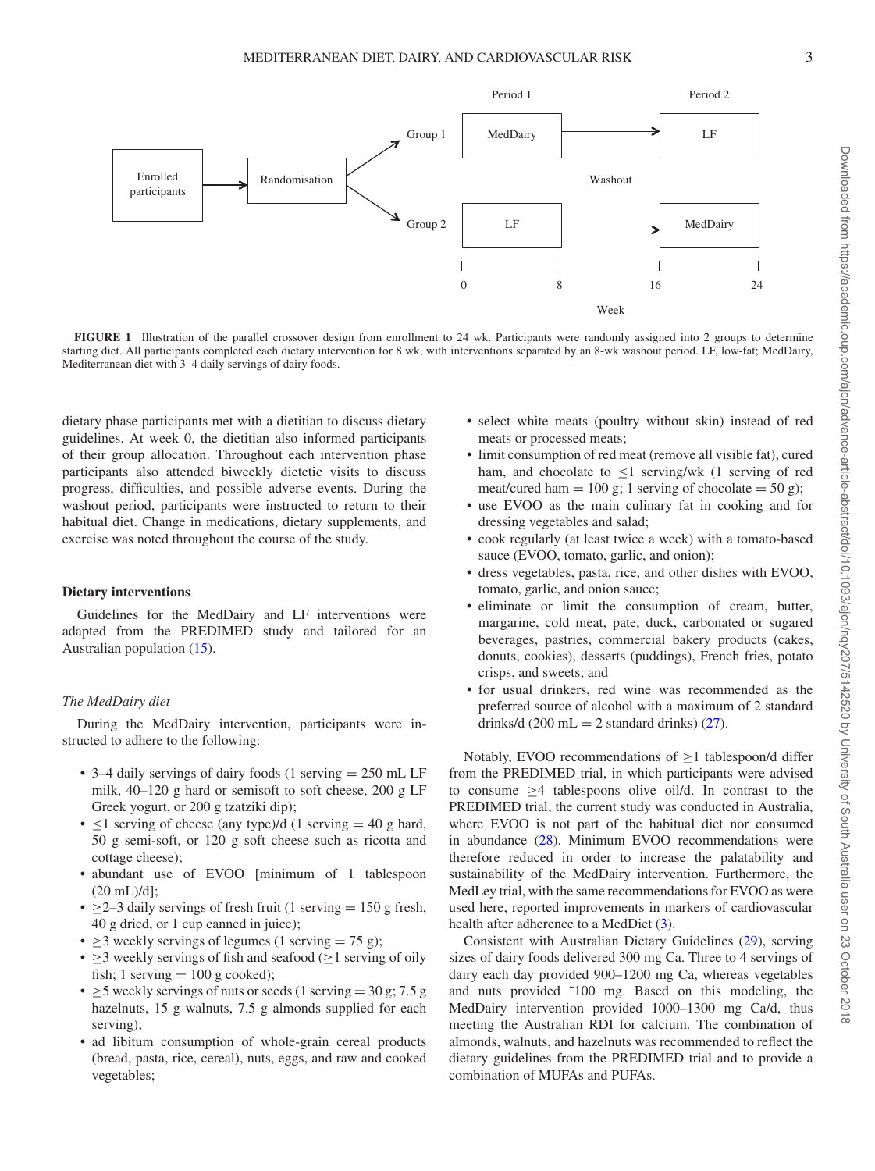<span id="page-2-0"></span>

**FIGURE 1** Illustration of the parallel crossover design from enrollment to 24 wk. Participants were randomly assigned into 2 groups to determine starting diet. All participants completed each dietary intervention for 8 wk, with interventions separated by an 8-wk washout period. LF, low-fat; MedDairy, Mediterranean diet with  $3-4$  daily servings of dairy foods.

dietary phase participants met with a dietitian to discuss dietary guidelines. At week 0, the dietitian also informed participants of their group allocation. Throughout each intervention phase participants also attended biweekly dietetic visits to discuss progress, difficulties, and possible adverse events. During the washout period, participants were instructed to return to their habitual diet. Change in medications, dietary supplements, and exercise was noted throughout the course of the study.

# **Dietary interventions**

Guidelines for the MedDairy and LF interventions were adapted from the PREDIMED study and tailored for an Australian population [\(15\)](#page-15-3).

#### *The MedDairy diet*

During the MedDairy intervention, participants were instructed to adhere to the following:

- 3–4 daily servings of dairy foods (1 serving = 250 mL LF milk, 40–120 g hard or semisoft to soft cheese, 200 g LF Greek yogurt, or 200 g tzatziki dip);
- $\leq$ 1 serving of cheese (any type)/d (1 serving = 40 g hard, 50 g semi-soft, or 120 g soft cheese such as ricotta and cottage cheese);
- abundant use of EVOO [minimum of 1 tablespoon  $(20 \text{ mL})/d$ ]:
- $\geq$ 2–3 daily servings of fresh fruit (1 serving = 150 g fresh, 40 g dried, or 1 cup canned in juice);
- > 3 weekly servings of legumes (1 serving  $= 75$  g);
- $\geq$ 3 weekly servings of fish and seafood ( $\geq$ 1 serving of oily fish; 1 serving  $= 100$  g cooked);
- $\geq$  5 weekly servings of nuts or seeds (1 serving = 30 g; 7.5 g hazelnuts, 15 g walnuts, 7.5 g almonds supplied for each serving);
- ad libitum consumption of whole-grain cereal products (bread, pasta, rice, cereal), nuts, eggs, and raw and cooked vegetables;
- select white meats (poultry without skin) instead of red meats or processed meats;
- limit consumption of red meat (remove all visible fat), cured ham, and chocolate to <1 serving/wk (1 serving of red meat/cured ham  $= 100$  g; 1 serving of chocolate  $= 50$  g);
- use EVOO as the main culinary fat in cooking and for dressing vegetables and salad;
- cook regularly (at least twice a week) with a tomato-based sauce (EVOO, tomato, garlic, and onion);
- dress vegetables, pasta, rice, and other dishes with EVOO, tomato, garlic, and onion sauce;
- eliminate or limit the consumption of cream, butter, margarine, cold meat, pate, duck, carbonated or sugared beverages, pastries, commercial bakery products (cakes, donuts, cookies), desserts (puddings), French fries, potato crisps, and sweets; and
- for usual drinkers, red wine was recommended as the preferred source of alcohol with a maximum of 2 standard drinks/d (200 mL = 2 standard drinks)  $(27)$ .

Notably, EVOO recommendations of ≥1 tablespoon/d differ from the PREDIMED trial, in which participants were advised to consume  $\geq$ 4 tablespoons olive oil/d. In contrast to the PREDIMED trial, the current study was conducted in Australia, where EVOO is not part of the habitual diet nor consumed in abundance [\(28\)](#page-15-14). Minimum EVOO recommendations were therefore reduced in order to increase the palatability and sustainability of the MedDairy intervention. Furthermore, the MedLey trial, with the same recommendations for EVOO as were used here, reported improvements in markers of cardiovascular health after adherence to a MedDiet [\(3\)](#page-15-0).

Consistent with Australian Dietary Guidelines [\(29\)](#page-15-15), serving sizes of dairy foods delivered 300 mg Ca. Three to 4 servings of dairy each day provided 900–1200 mg Ca, whereas vegetables and nuts provided ˜100 mg. Based on this modeling, the MedDairy intervention provided 1000–1300 mg Ca/d, thus meeting the Australian RDI for calcium. The combination of almonds, walnuts, and hazelnuts was recommended to reflect the dietary guidelines from the PREDIMED trial and to provide a combination of MUFAs and PUFAs.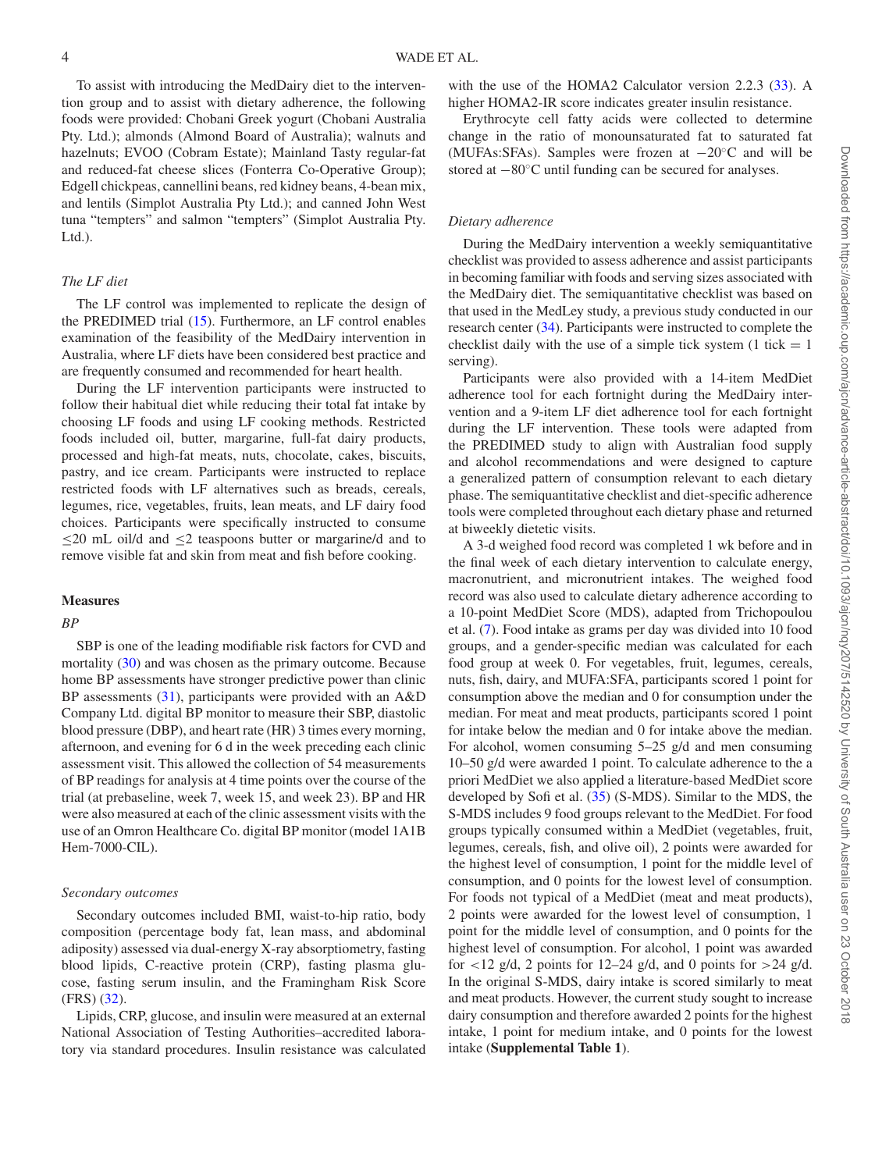To assist with introducing the MedDairy diet to the intervention group and to assist with dietary adherence, the following foods were provided: Chobani Greek yogurt (Chobani Australia Pty. Ltd.); almonds (Almond Board of Australia); walnuts and hazelnuts; EVOO (Cobram Estate); Mainland Tasty regular-fat and reduced-fat cheese slices (Fonterra Co-Operative Group); Edgell chickpeas, cannellini beans, red kidney beans, 4-bean mix, and lentils (Simplot Australia Pty Ltd.); and canned John West tuna "tempters" and salmon "tempters" (Simplot Australia Pty. Ltd.).

# *The LF diet*

The LF control was implemented to replicate the design of the PREDIMED trial [\(15\)](#page-15-3). Furthermore, an LF control enables examination of the feasibility of the MedDairy intervention in Australia, where LF diets have been considered best practice and are frequently consumed and recommended for heart health.

During the LF intervention participants were instructed to follow their habitual diet while reducing their total fat intake by choosing LF foods and using LF cooking methods. Restricted foods included oil, butter, margarine, full-fat dairy products, processed and high-fat meats, nuts, chocolate, cakes, biscuits, pastry, and ice cream. Participants were instructed to replace restricted foods with LF alternatives such as breads, cereals, legumes, rice, vegetables, fruits, lean meats, and LF dairy food choices. Participants were specifically instructed to consume  $\leq$ 20 mL oil/d and  $\leq$ 2 teaspoons butter or margarine/d and to remove visible fat and skin from meat and fish before cooking.

#### **Measures**

#### *BP*

SBP is one of the leading modifiable risk factors for CVD and mortality [\(30\)](#page-15-16) and was chosen as the primary outcome. Because home BP assessments have stronger predictive power than clinic BP assessments [\(31\)](#page-15-17), participants were provided with an A&D Company Ltd. digital BP monitor to measure their SBP, diastolic blood pressure (DBP), and heart rate (HR) 3 times every morning, afternoon, and evening for 6 d in the week preceding each clinic assessment visit. This allowed the collection of 54 measurements of BP readings for analysis at 4 time points over the course of the trial (at prebaseline, week 7, week 15, and week 23). BP and HR were also measured at each of the clinic assessment visits with the use of an Omron Healthcare Co. digital BP monitor (model 1A1B Hem-7000-CIL).

#### *Secondary outcomes*

Secondary outcomes included BMI, waist-to-hip ratio, body composition (percentage body fat, lean mass, and abdominal adiposity) assessed via dual-energy X-ray absorptiometry, fasting blood lipids, C-reactive protein (CRP), fasting plasma glucose, fasting serum insulin, and the Framingham Risk Score (FRS) [\(32\)](#page-15-18).

Lipids, CRP, glucose, and insulin were measured at an external National Association of Testing Authorities–accredited laboratory via standard procedures. Insulin resistance was calculated with the use of the HOMA2 Calculator version 2.2.3 [\(33\)](#page-15-19). A higher HOMA2-IR score indicates greater insulin resistance.

Erythrocyte cell fatty acids were collected to determine change in the ratio of monounsaturated fat to saturated fat (MUFAs:SFAs). Samples were frozen at −20◦C and will be stored at −80◦C until funding can be secured for analyses.

#### *Dietary adherence*

During the MedDairy intervention a weekly semiquantitative checklist was provided to assess adherence and assist participants in becoming familiar with foods and serving sizes associated with the MedDairy diet. The semiquantitative checklist was based on that used in the MedLey study, a previous study conducted in our research center [\(34\)](#page-15-20). Participants were instructed to complete the checklist daily with the use of a simple tick system  $(1 + i)$ serving).

Participants were also provided with a 14-item MedDiet adherence tool for each fortnight during the MedDairy intervention and a 9-item LF diet adherence tool for each fortnight during the LF intervention. These tools were adapted from the PREDIMED study to align with Australian food supply and alcohol recommendations and were designed to capture a generalized pattern of consumption relevant to each dietary phase. The semiquantitative checklist and diet-specific adherence tools were completed throughout each dietary phase and returned at biweekly dietetic visits.

A 3-d weighed food record was completed 1 wk before and in the final week of each dietary intervention to calculate energy, macronutrient, and micronutrient intakes. The weighed food record was also used to calculate dietary adherence according to a 10-point MedDiet Score (MDS), adapted from Trichopoulou et al. [\(7\)](#page-15-21). Food intake as grams per day was divided into 10 food groups, and a gender-specific median was calculated for each food group at week 0. For vegetables, fruit, legumes, cereals, nuts, fish, dairy, and MUFA:SFA, participants scored 1 point for consumption above the median and 0 for consumption under the median. For meat and meat products, participants scored 1 point for intake below the median and 0 for intake above the median. For alcohol, women consuming 5–25 g/d and men consuming 10–50 g/d were awarded 1 point. To calculate adherence to the a priori MedDiet we also applied a literature-based MedDiet score developed by Sofi et al. [\(35\)](#page-15-22) (S-MDS). Similar to the MDS, the S-MDS includes 9 food groups relevant to the MedDiet. For food groups typically consumed within a MedDiet (vegetables, fruit, legumes, cereals, fish, and olive oil), 2 points were awarded for the highest level of consumption, 1 point for the middle level of consumption, and 0 points for the lowest level of consumption. For foods not typical of a MedDiet (meat and meat products), 2 points were awarded for the lowest level of consumption, 1 point for the middle level of consumption, and 0 points for the highest level of consumption. For alcohol, 1 point was awarded for  $\langle 12 \text{ g/d}, 2 \text{ points for } 12-24 \text{ g/d}, \text{ and } 0 \text{ points for } >24 \text{ g/d}.$ In the original S-MDS, dairy intake is scored similarly to meat and meat products. However, the current study sought to increase dairy consumption and therefore awarded 2 points for the highest intake, 1 point for medium intake, and 0 points for the lowest intake (**Supplemental Table 1**).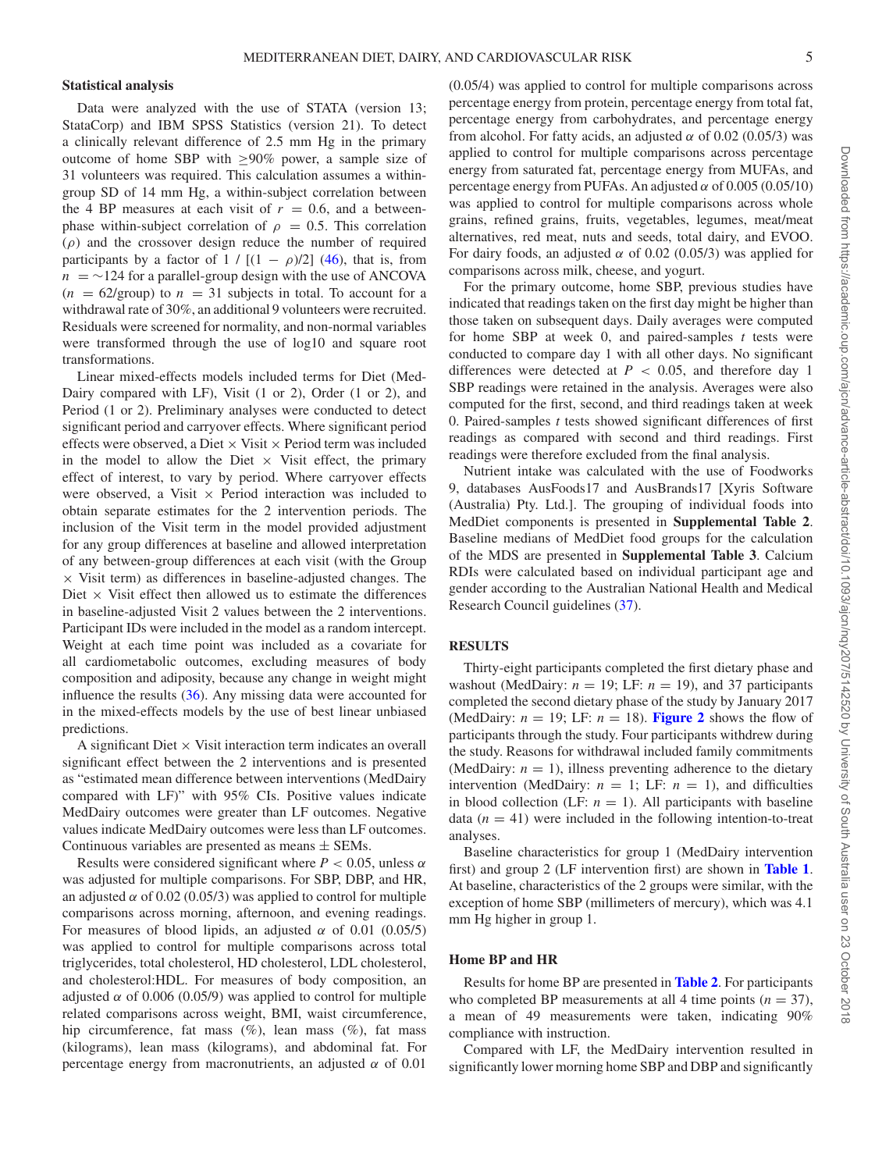#### **Statistical analysis**

Data were analyzed with the use of STATA (version 13; StataCorp) and IBM SPSS Statistics (version 21). To detect a clinically relevant difference of 2.5 mm Hg in the primary outcome of home SBP with  $\geq 90\%$  power, a sample size of 31 volunteers was required. This calculation assumes a withingroup SD of 14 mm Hg, a within-subject correlation between the 4 BP measures at each visit of  $r = 0.6$ , and a betweenphase within-subject correlation of  $\rho = 0.5$ . This correlation  $(\rho)$  and the crossover design reduce the number of required participants by a factor of 1 /  $[(1 - \rho)/2]$  [\(46\)](#page-16-0), that is, from  $n = \sim 124$  for a parallel-group design with the use of ANCOVA  $(n = 62/\text{group})$  to  $n = 31$  subjects in total. To account for a withdrawal rate of 30%, an additional 9 volunteers were recruited. Residuals were screened for normality, and non-normal variables were transformed through the use of log10 and square root transformations.

Linear mixed-effects models included terms for Diet (Med-Dairy compared with LF), Visit (1 or 2), Order (1 or 2), and Period (1 or 2). Preliminary analyses were conducted to detect significant period and carryover effects. Where significant period effects were observed, a Diet  $\times$  Visit  $\times$  Period term was included in the model to allow the Diet  $\times$  Visit effect, the primary effect of interest, to vary by period. Where carryover effects were observed, a Visit  $\times$  Period interaction was included to obtain separate estimates for the 2 intervention periods. The inclusion of the Visit term in the model provided adjustment for any group differences at baseline and allowed interpretation of any between-group differences at each visit (with the Group  $\times$  Visit term) as differences in baseline-adjusted changes. The Diet  $\times$  Visit effect then allowed us to estimate the differences in baseline-adjusted Visit 2 values between the 2 interventions. Participant IDs were included in the model as a random intercept. Weight at each time point was included as a covariate for all cardiometabolic outcomes, excluding measures of body composition and adiposity, because any change in weight might influence the results  $(36)$ . Any missing data were accounted for in the mixed-effects models by the use of best linear unbiased predictions.

A significant Diet  $\times$  Visit interaction term indicates an overall significant effect between the 2 interventions and is presented as "estimated mean difference between interventions (MedDairy compared with LF)" with 95% CIs. Positive values indicate MedDairy outcomes were greater than LF outcomes. Negative values indicate MedDairy outcomes were less than LF outcomes. Continuous variables are presented as means  $\pm$  SEMs.

Results were considered significant where  $P < 0.05$ , unless  $\alpha$ was adjusted for multiple comparisons. For SBP, DBP, and HR, an adjusted  $\alpha$  of 0.02 (0.05/3) was applied to control for multiple comparisons across morning, afternoon, and evening readings. For measures of blood lipids, an adjusted  $\alpha$  of 0.01 (0.05/5) was applied to control for multiple comparisons across total triglycerides, total cholesterol, HD cholesterol, LDL cholesterol, and cholesterol:HDL. For measures of body composition, an adjusted  $\alpha$  of 0.006 (0.05/9) was applied to control for multiple related comparisons across weight, BMI, waist circumference, hip circumference, fat mass  $(\%)$ , lean mass  $(\%)$ , fat mass (kilograms), lean mass (kilograms), and abdominal fat. For percentage energy from macronutrients, an adjusted  $\alpha$  of 0.01

(0.05/4) was applied to control for multiple comparisons across percentage energy from protein, percentage energy from total fat, percentage energy from carbohydrates, and percentage energy from alcohol. For fatty acids, an adjusted  $\alpha$  of 0.02 (0.05/3) was applied to control for multiple comparisons across percentage energy from saturated fat, percentage energy from MUFAs, and percentage energy from PUFAs. An adjusted  $\alpha$  of 0.005 (0.05/10) was applied to control for multiple comparisons across whole grains, refined grains, fruits, vegetables, legumes, meat/meat alternatives, red meat, nuts and seeds, total dairy, and EVOO. For dairy foods, an adjusted  $\alpha$  of 0.02 (0.05/3) was applied for comparisons across milk, cheese, and yogurt.

For the primary outcome, home SBP, previous studies have indicated that readings taken on the first day might be higher than those taken on subsequent days. Daily averages were computed for home SBP at week 0, and paired-samples *t* tests were conducted to compare day 1 with all other days. No significant differences were detected at  $P < 0.05$ , and therefore day 1 SBP readings were retained in the analysis. Averages were also computed for the first, second, and third readings taken at week 0. Paired-samples *t* tests showed significant differences of first readings as compared with second and third readings. First readings were therefore excluded from the final analysis.

Nutrient intake was calculated with the use of Foodworks 9, databases AusFoods17 and AusBrands17 [Xyris Software (Australia) Pty. Ltd.]. The grouping of individual foods into MedDiet components is presented in **Supplemental Table 2**. Baseline medians of MedDiet food groups for the calculation of the MDS are presented in **Supplemental Table 3**. Calcium RDIs were calculated based on individual participant age and gender according to the Australian National Health and Medical Research Council guidelines [\(37\)](#page-15-24).

# **RESULTS**

Thirty-eight participants completed the first dietary phase and washout (MedDairy:  $n = 19$ ; LF:  $n = 19$ ), and 37 participants completed the second dietary phase of the study by January 2017 (MedDairy:  $n = 19$ ; LF:  $n = 18$ ). **[Figure 2](#page-5-0)** shows the flow of participants through the study. Four participants withdrew during the study. Reasons for withdrawal included family commitments (MedDairy:  $n = 1$ ), illness preventing adherence to the dietary intervention (MedDairy:  $n = 1$ ; LF:  $n = 1$ ), and difficulties in blood collection (LF:  $n = 1$ ). All participants with baseline data  $(n = 41)$  were included in the following intention-to-treat analyses.

Baseline characteristics for group 1 (MedDairy intervention first) and group 2 (LF intervention first) are shown in **[Table 1](#page-6-0)**. At baseline, characteristics of the 2 groups were similar, with the exception of home SBP (millimeters of mercury), which was 4.1 mm Hg higher in group 1.

#### **Home BP and HR**

Results for home BP are presented in **[Table 2](#page-7-0)**. For participants who completed BP measurements at all 4 time points  $(n = 37)$ , a mean of 49 measurements were taken, indicating 90% compliance with instruction.

Compared with LF, the MedDairy intervention resulted in significantly lower morning home SBP and DBP and significantly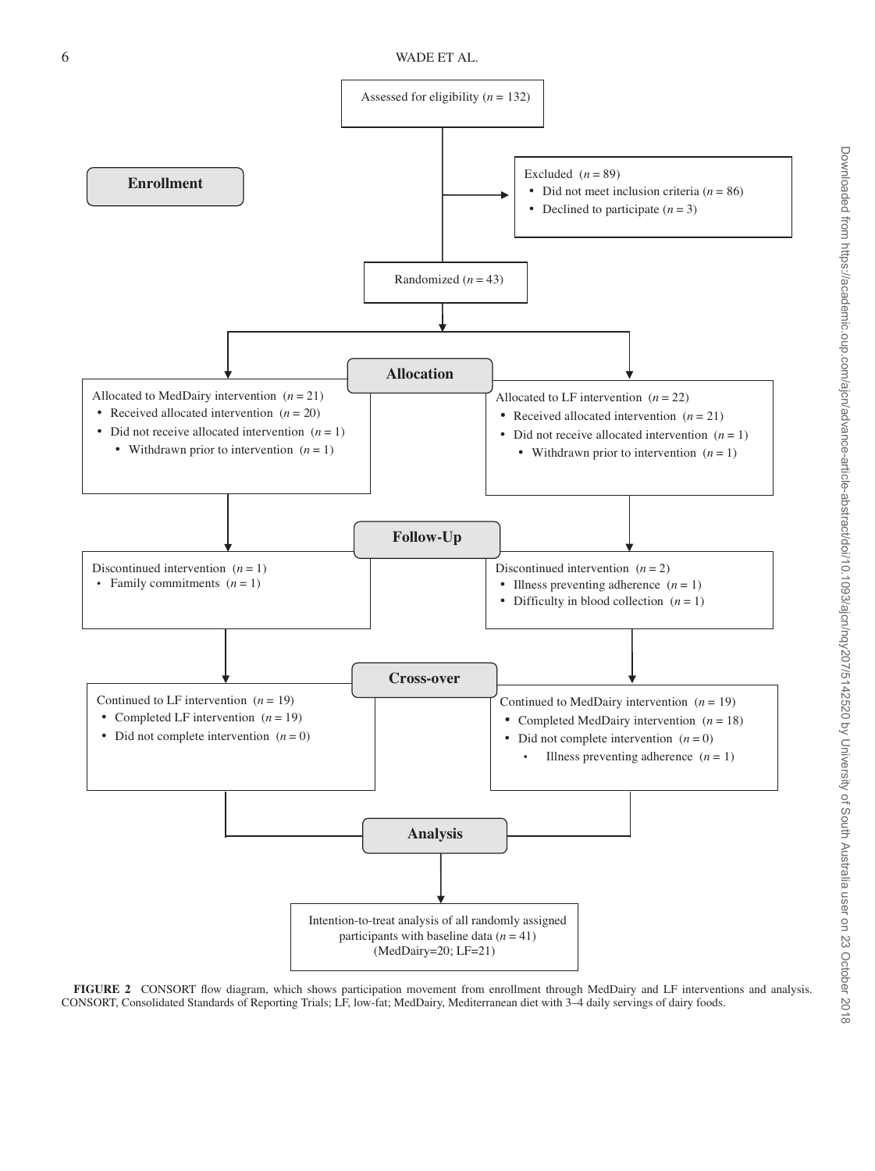<span id="page-5-0"></span>

**FIGURE 2** CONSORT flow diagram, which shows participation movement from enrollment through MedDairy and LF interventions and analysis. CONSORT, Consolidated Standards of Reporting Trials; LF, low-fat; MedDairy, Mediterranean diet with 3–4 daily servings of dairy foods.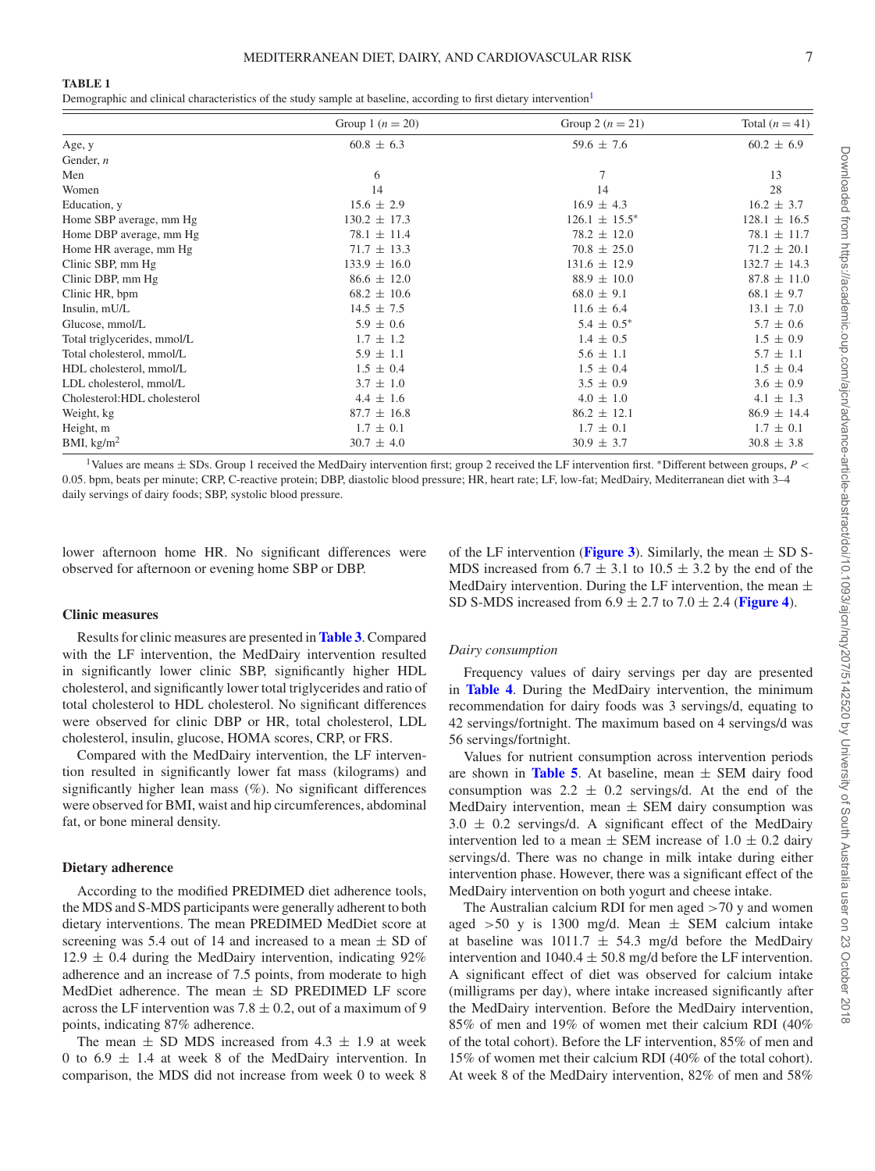<span id="page-6-0"></span>Demographic and clinical characteristics of the study sample at baseline, according to first dietary intervention<sup>[1](#page-6-1)</sup>

|                              | Group 1 ( $n = 20$ ) | Group 2 $(n = 21)$ | Total $(n = 41)$ |
|------------------------------|----------------------|--------------------|------------------|
| Age, y                       | $60.8 \pm 6.3$       | $59.6 \pm 7.6$     | $60.2 \pm 6.9$   |
| Gender, $n$                  |                      |                    |                  |
| Men                          | 6                    | 7                  | 13               |
| Women                        | 14                   | 14                 | 28               |
| Education, y                 | $15.6 \pm 2.9$       | $16.9 \pm 4.3$     | $16.2 \pm 3.7$   |
| Home SBP average, mm Hg      | $130.2 \pm 17.3$     | $126.1 \pm 15.5^*$ | $128.1 \pm 16.5$ |
| Home DBP average, mm Hg      | $78.1 \pm 11.4$      | $78.2 \pm 12.0$    | $78.1 \pm 11.7$  |
| Home HR average, mm Hg       | $71.7 \pm 13.3$      | $70.8 \pm 25.0$    | $71.2 \pm 20.1$  |
| Clinic SBP, mm Hg            | $133.9 \pm 16.0$     | $131.6 \pm 12.9$   | $132.7 \pm 14.3$ |
| Clinic DBP, mm Hg            | $86.6 \pm 12.0$      | $88.9 \pm 10.0$    | $87.8 \pm 11.0$  |
| Clinic HR, bpm               | $68.2 \pm 10.6$      | $68.0 \pm 9.1$     | $68.1 \pm 9.7$   |
| Insulin, mU/L                | $14.5 \pm 7.5$       | $11.6 \pm 6.4$     | $13.1 \pm 7.0$   |
| Glucose, mmol/L              | $5.9 \pm 0.6$        | $5.4 \pm 0.5^*$    | $5.7 \pm 0.6$    |
| Total triglycerides, mmol/L  | $1.7 \pm 1.2$        | $1.4 \pm 0.5$      | $1.5 \pm 0.9$    |
| Total cholesterol, mmol/L    | $5.9 \pm 1.1$        | $5.6 \pm 1.1$      | $5.7 \pm 1.1$    |
| HDL cholesterol, mmol/L      | $1.5 \pm 0.4$        | $1.5 \pm 0.4$      | $1.5 \pm 0.4$    |
| LDL cholesterol, mmol/L      | $3.7 \pm 1.0$        | $3.5 \pm 0.9$      | $3.6 \pm 0.9$    |
| Cholesterol: HDL cholesterol | $4.4 \pm 1.6$        | $4.0 \pm 1.0$      | $4.1 \pm 1.3$    |
| Weight, kg                   | $87.7 \pm 16.8$      | $86.2 \pm 12.1$    | $86.9 \pm 14.4$  |
| Height, m                    | $1.7 \pm 0.1$        | $1.7 \pm 0.1$      | $1.7 \pm 0.1$    |
| BMI, $\text{kg/m}^2$         | $30.7 \pm 4.0$       | $30.9 \pm 3.7$     | $30.8 \pm 3.8$   |

<span id="page-6-1"></span>1Values are means <sup>±</sup> SDs. Group 1 received the MedDairy intervention first; group 2 received the LF intervention first. <sup>∗</sup>Different between groups, *<sup>P</sup>* <sup>&</sup>lt; 0.05. bpm, beats per minute; CRP, C-reactive protein; DBP, diastolic blood pressure; HR, heart rate; LF, low-fat; MedDairy, Mediterranean diet with 3–4 daily servings of dairy foods; SBP, systolic blood pressure.

lower afternoon home HR. No significant differences were observed for afternoon or evening home SBP or DBP.

of the LF intervention (**[Figure 3](#page-10-0)**). Similarly, the mean  $\pm$  SD S-MDS increased from  $6.7 \pm 3.1$  to  $10.5 \pm 3.2$  by the end of the MedDairy intervention. During the LF intervention, the mean  $\pm$ SD S-MDS increased from  $6.9 \pm 2.7$  to  $7.0 \pm 2.4$  ([Figure 4](#page-10-1)).

#### **Clinic measures**

Results for clinic measures are presented in **[Table 3](#page-8-0)**. Compared with the LF intervention, the MedDairy intervention resulted in significantly lower clinic SBP, significantly higher HDL cholesterol, and significantly lower total triglycerides and ratio of total cholesterol to HDL cholesterol. No significant differences were observed for clinic DBP or HR, total cholesterol, LDL cholesterol, insulin, glucose, HOMA scores, CRP, or FRS.

Compared with the MedDairy intervention, the LF intervention resulted in significantly lower fat mass (kilograms) and significantly higher lean mass (%). No significant differences were observed for BMI, waist and hip circumferences, abdominal fat, or bone mineral density.

#### **Dietary adherence**

According to the modified PREDIMED diet adherence tools, the MDS and S-MDS participants were generally adherent to both dietary interventions. The mean PREDIMED MedDiet score at screening was 5.4 out of 14 and increased to a mean  $\pm$  SD of  $12.9 \pm 0.4$  during the MedDairy intervention, indicating 92% adherence and an increase of 7.5 points, from moderate to high MedDiet adherence. The mean  $\pm$  SD PREDIMED LF score across the LF intervention was  $7.8 \pm 0.2$ , out of a maximum of 9 points, indicating 87% adherence.

The mean  $\pm$  SD MDS increased from 4.3  $\pm$  1.9 at week 0 to  $6.9 \pm 1.4$  at week 8 of the MedDairy intervention. In comparison, the MDS did not increase from week 0 to week 8

#### *Dairy consumption*

Frequency values of dairy servings per day are presented in **[Table 4](#page-10-2)**. During the MedDairy intervention, the minimum recommendation for dairy foods was 3 servings/d, equating to 42 servings/fortnight. The maximum based on 4 servings/d was 56 servings/fortnight.

Values for nutrient consumption across intervention periods are shown in **[Table 5](#page-11-0)**. At baseline, mean  $\pm$  SEM dairy food consumption was  $2.2 \pm 0.2$  servings/d. At the end of the MedDairy intervention, mean  $\pm$  SEM dairy consumption was  $3.0 \pm 0.2$  servings/d. A significant effect of the MedDairy intervention led to a mean  $\pm$  SEM increase of 1.0  $\pm$  0.2 dairy servings/d. There was no change in milk intake during either intervention phase. However, there was a significant effect of the MedDairy intervention on both yogurt and cheese intake.

The Australian calcium RDI for men aged  $>70$  y and women aged  $>50$  y is 1300 mg/d. Mean  $\pm$  SEM calcium intake at baseline was  $1011.7 \pm 54.3$  mg/d before the MedDairy intervention and  $1040.4 \pm 50.8$  mg/d before the LF intervention. A significant effect of diet was observed for calcium intake (milligrams per day), where intake increased significantly after the MedDairy intervention. Before the MedDairy intervention, 85% of men and 19% of women met their calcium RDI (40% of the total cohort). Before the LF intervention, 85% of men and 15% of women met their calcium RDI (40% of the total cohort). At week 8 of the MedDairy intervention, 82% of men and 58%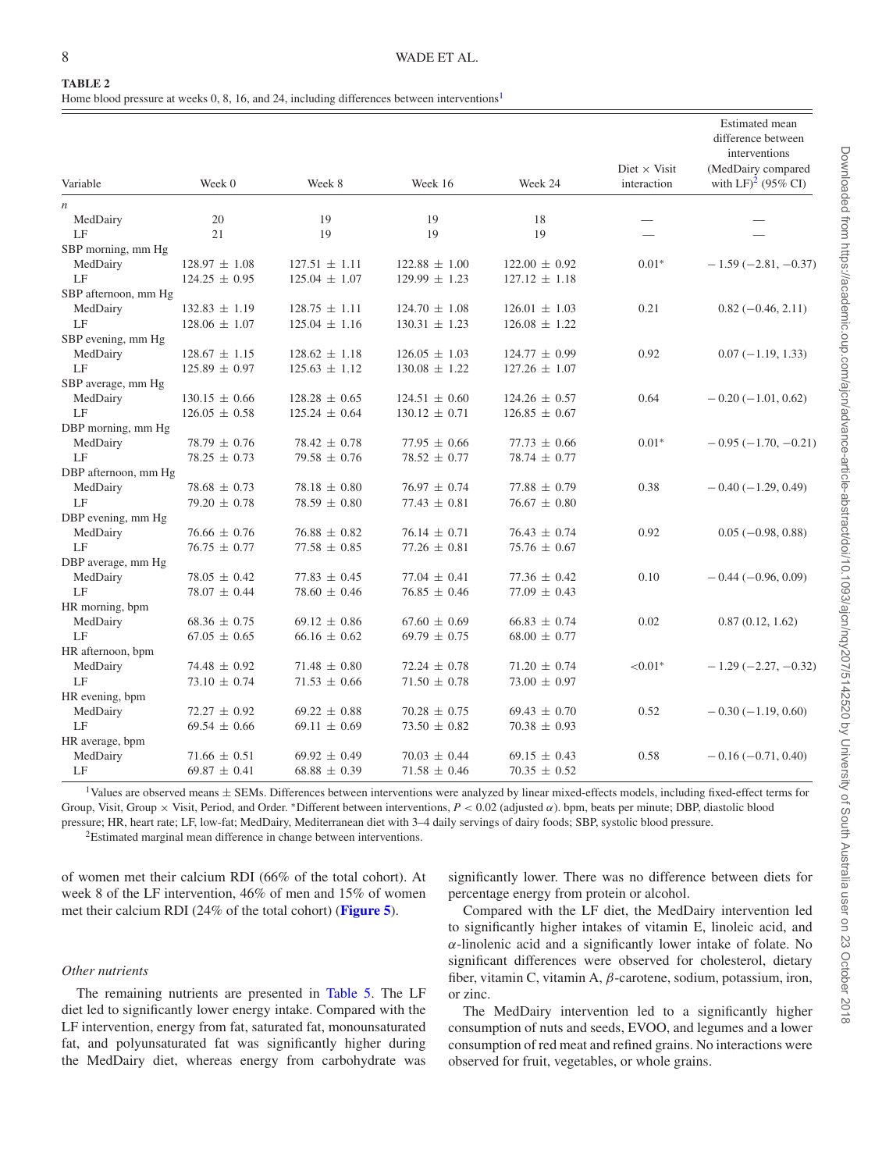<span id="page-7-0"></span>Home blood pressure at weeks 0, 8, 16, and 24, including differences between interventions<sup>1</sup>

|                      |                   |                   |                   |                   | Diet $\times$ Visit | <b>Estimated</b> mean<br>difference between<br>interventions<br>(MedDairy compared |
|----------------------|-------------------|-------------------|-------------------|-------------------|---------------------|------------------------------------------------------------------------------------|
| Variable             | Week 0            | Week 8            | Week 16           | Week 24           | interaction         | with LF $)^2$ (95% CI)                                                             |
| n                    |                   |                   |                   |                   |                     |                                                                                    |
| MedDairy             | 20                | 19                | 19                | 18                |                     |                                                                                    |
| LF                   | 21                | 19                | 19                | 19                |                     |                                                                                    |
| SBP morning, mm Hg   |                   |                   |                   |                   |                     |                                                                                    |
| MedDairy             | $128.97 \pm 1.08$ | $127.51 \pm 1.11$ | $122.88 \pm 1.00$ | $122.00 \pm 0.92$ | $0.01*$             | $-1.59(-2.81, -0.37)$                                                              |
| LF                   | $124.25 \pm 0.95$ | $125.04 \pm 1.07$ | $129.99 \pm 1.23$ | $127.12 \pm 1.18$ |                     |                                                                                    |
| SBP afternoon, mm Hg |                   |                   |                   |                   |                     |                                                                                    |
| MedDairy             | $132.83 \pm 1.19$ | $128.75 \pm 1.11$ | $124.70 \pm 1.08$ | $126.01 \pm 1.03$ | 0.21                | $0.82(-0.46, 2.11)$                                                                |
| $\rm LF$             | $128.06 \pm 1.07$ | $125.04 \pm 1.16$ | $130.31 \pm 1.23$ | $126.08 \pm 1.22$ |                     |                                                                                    |
| SBP evening, mm Hg   |                   |                   |                   |                   |                     |                                                                                    |
| MedDairy             | $128.67 \pm 1.15$ | $128.62 \pm 1.18$ | $126.05 \pm 1.03$ | $124.77 \pm 0.99$ | 0.92                | $0.07(-1.19, 1.33)$                                                                |
| LF                   | $125.89 \pm 0.97$ | $125.63 \pm 1.12$ | $130.08 \pm 1.22$ | $127.26 \pm 1.07$ |                     |                                                                                    |
| SBP average, mm Hg   |                   |                   |                   |                   |                     |                                                                                    |
| MedDairy             | $130.15 \pm 0.66$ | $128.28 \pm 0.65$ | $124.51 \pm 0.60$ | $124.26 \pm 0.57$ | 0.64                | $-0.20(-1.01, 0.62)$                                                               |
| LF                   | $126.05 \pm 0.58$ | $125.24 \pm 0.64$ | $130.12 \pm 0.71$ | $126.85 \pm 0.67$ |                     |                                                                                    |
| DBP morning, mm Hg   |                   |                   |                   |                   |                     |                                                                                    |
| MedDairy             | $78.79 \pm 0.76$  | $78.42 \pm 0.78$  | $77.95 \pm 0.66$  | $77.73 \pm 0.66$  | $0.01*$             | $-0.95(-1.70,-0.21)$                                                               |
| LF                   | $78.25 \pm 0.73$  | $79.58 \pm 0.76$  | $78.52 \pm 0.77$  | $78.74 \pm 0.77$  |                     |                                                                                    |
| DBP afternoon, mm Hg |                   |                   |                   |                   |                     |                                                                                    |
| MedDairy             | $78.68 \pm 0.73$  | $78.18 \pm 0.80$  | $76.97 \pm 0.74$  | $77.88 \pm 0.79$  | 0.38                | $-0.40(-1.29, 0.49)$                                                               |
| LF                   | $79.20 \pm 0.78$  | $78.59 \pm 0.80$  | $77.43 \pm 0.81$  | $76.67 \pm 0.80$  |                     |                                                                                    |
| DBP evening, mm Hg   |                   |                   |                   |                   |                     |                                                                                    |
| MedDairy             | $76.66 \pm 0.76$  | $76.88 \pm 0.82$  | $76.14 \pm 0.71$  | $76.43 \pm 0.74$  | 0.92                | $0.05(-0.98, 0.88)$                                                                |
| LF                   | $76.75 \pm 0.77$  | $77.58 \pm 0.85$  | $77.26 \pm 0.81$  | $75.76 \pm 0.67$  |                     |                                                                                    |
| DBP average, mm Hg   |                   |                   |                   |                   |                     |                                                                                    |
| MedDairy             | $78.05 \pm 0.42$  | $77.83 \pm 0.45$  | $77.04 \pm 0.41$  | $77.36 \pm 0.42$  | 0.10                | $-0.44(-0.96, 0.09)$                                                               |
| LF                   | $78.07 \pm 0.44$  | $78.60 \pm 0.46$  | $76.85 \pm 0.46$  | $77.09 \pm 0.43$  |                     |                                                                                    |
| HR morning, bpm      |                   |                   |                   |                   |                     |                                                                                    |
| MedDairy             | $68.36 \pm 0.75$  | $69.12 \pm 0.86$  | $67.60 \pm 0.69$  | $66.83 \pm 0.74$  | 0.02                | 0.87(0.12, 1.62)                                                                   |
| LF                   | $67.05 \pm 0.65$  | $66.16 \pm 0.62$  | $69.79 \pm 0.75$  | $68.00 \pm 0.77$  |                     |                                                                                    |
| HR afternoon, bpm    |                   |                   |                   |                   |                     |                                                                                    |
| MedDairy             | $74.48 \pm 0.92$  | $71.48 \pm 0.80$  | $72.24 \pm 0.78$  | $71.20 \pm 0.74$  | ${<}0.01*$          | $-1.29(-2.27, -0.32)$                                                              |
| LF                   | $73.10 \pm 0.74$  | $71.53 \pm 0.66$  | $71.50 \pm 0.78$  | $73.00 \pm 0.97$  |                     |                                                                                    |
| HR evening, bpm      |                   |                   |                   |                   |                     |                                                                                    |
| MedDairy             | $72.27 \pm 0.92$  | $69.22 \pm 0.88$  | $70.28 \pm 0.75$  | $69.43 \pm 0.70$  | 0.52                | $-0.30(-1.19, 0.60)$                                                               |
| LF                   | $69.54 \pm 0.66$  | $69.11 \pm 0.69$  | $73.50 \pm 0.82$  | $70.38 \pm 0.93$  |                     |                                                                                    |
| HR average, bpm      |                   |                   |                   |                   |                     |                                                                                    |
| MedDairy             | $71.66 \pm 0.51$  | $69.92 \pm 0.49$  | $70.03 \pm 0.44$  | $69.15 \pm 0.43$  | 0.58                | $-0.16(-0.71, 0.40)$                                                               |
| LF                   | $69.87 \pm 0.41$  | $68.88 \pm 0.39$  | $71.58 \pm 0.46$  | $70.35 \pm 0.52$  |                     |                                                                                    |

<span id="page-7-1"></span><sup>1</sup>Values are observed means  $\pm$  SEMs. Differences between interventions were analyzed by linear mixed-effects models, including fixed-effect terms for Group, Visit, Group × Visit, Period, and Order. <sup>∗</sup>Different between interventions, *P* < 0.02 (adjusted α). bpm, beats per minute; DBP, diastolic blood pressure; HR, heart rate; LF, low-fat; MedDairy, Mediterranean diet with 3–4 daily servings of dairy foods; SBP, systolic blood pressure.

<span id="page-7-2"></span>2Estimated marginal mean difference in change between interventions.

of women met their calcium RDI (66% of the total cohort). At week 8 of the LF intervention, 46% of men and 15% of women met their calcium RDI (24% of the total cohort) (**[Figure 5](#page-14-2)**).

*Other nutrients*

The remaining nutrients are presented in [Table 5.](#page-11-0) The LF diet led to significantly lower energy intake. Compared with the LF intervention, energy from fat, saturated fat, monounsaturated fat, and polyunsaturated fat was significantly higher during the MedDairy diet, whereas energy from carbohydrate was significantly lower. There was no difference between diets for percentage energy from protein or alcohol.

Compared with the LF diet, the MedDairy intervention led to significantly higher intakes of vitamin E, linoleic acid, and α-linolenic acid and a significantly lower intake of folate. No significant differences were observed for cholesterol, dietary fiber, vitamin C, vitamin A,  $\beta$ -carotene, sodium, potassium, iron, or zinc.

The MedDairy intervention led to a significantly higher consumption of nuts and seeds, EVOO, and legumes and a lower consumption of red meat and refined grains. No interactions were observed for fruit, vegetables, or whole grains.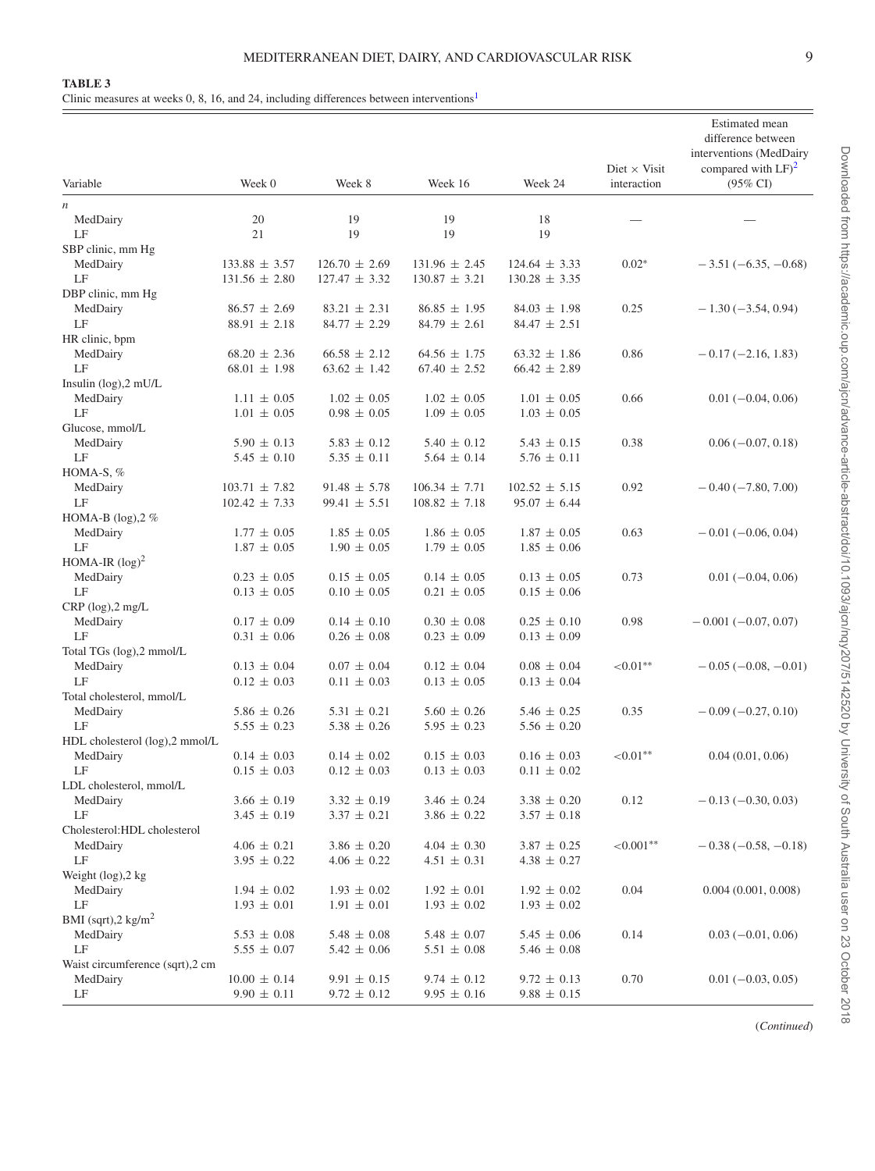<span id="page-8-0"></span>Clinic measures at weeks 0, 8, 16, and 24, including differences between intervention[s1](#page-9-0)

| Variable                        | Week 0            | Week 8            | Week 16                                | Week 24                                | Diet $\times$ Visit<br>interaction | Estimated mean<br>difference between<br>interventions (MedDairy<br>compared with $LF)^2$<br>$(95\% \text{ CI})$ |
|---------------------------------|-------------------|-------------------|----------------------------------------|----------------------------------------|------------------------------------|-----------------------------------------------------------------------------------------------------------------|
| $\,$                            |                   |                   |                                        |                                        |                                    |                                                                                                                 |
| MedDairy                        | 20                | 19                | 19                                     | 18                                     |                                    |                                                                                                                 |
| LF                              | 21                | 19                | 19                                     | 19                                     |                                    |                                                                                                                 |
| SBP clinic, mm Hg               |                   |                   |                                        |                                        |                                    |                                                                                                                 |
| MedDairy<br>LF                  | $133.88 \pm 3.57$ | $126.70 \pm 2.69$ | $131.96 \pm 2.45$<br>$130.87 \pm 3.21$ | $124.64 \pm 3.33$<br>$130.28 \pm 3.35$ | $0.02*$                            | $-3.51(-6.35, -0.68)$                                                                                           |
| DBP clinic, mm Hg               | $131.56 \pm 2.80$ | $127.47 \pm 3.32$ |                                        |                                        |                                    |                                                                                                                 |
| MedDairy                        | $86.57 \pm 2.69$  | $83.21 \pm 2.31$  | $86.85 \pm 1.95$                       | $84.03 \pm 1.98$                       | 0.25                               | $-1.30(-3.54, 0.94)$                                                                                            |
| LF                              | $88.91 \pm 2.18$  | $84.77 \pm 2.29$  | $84.79 \pm 2.61$                       | $84.47 \pm 2.51$                       |                                    |                                                                                                                 |
| HR clinic, bpm                  |                   |                   |                                        |                                        |                                    |                                                                                                                 |
| MedDairy                        | $68.20 \pm 2.36$  | $66.58 \pm 2.12$  | $64.56 \pm 1.75$                       | $63.32 \pm 1.86$                       | 0.86                               | $-0.17(-2.16, 1.83)$                                                                                            |
| LF                              | $68.01 \pm 1.98$  | $63.62 \pm 1.42$  | $67.40 \pm 2.52$                       | $66.42 \pm 2.89$                       |                                    |                                                                                                                 |
| Insulin (log),2 mU/L            |                   |                   |                                        |                                        |                                    |                                                                                                                 |
| MedDairy                        | $1.11 \pm 0.05$   | $1.02 \pm 0.05$   | $1.02 \pm 0.05$                        | $1.01 \pm 0.05$                        | 0.66                               | $0.01(-0.04, 0.06)$                                                                                             |
| LF                              | $1.01 \pm 0.05$   | $0.98 \pm 0.05$   | $1.09 \pm 0.05$                        | $1.03 \pm 0.05$                        |                                    |                                                                                                                 |
| Glucose, mmol/L                 |                   |                   |                                        |                                        |                                    |                                                                                                                 |
| MedDairy                        | $5.90 \pm 0.13$   | $5.83 \pm 0.12$   | $5.40 \pm 0.12$                        | $5.43 \pm 0.15$                        | 0.38                               | $0.06(-0.07, 0.18)$                                                                                             |
| LF                              | $5.45 \pm 0.10$   | $5.35 \pm 0.11$   | $5.64 \pm 0.14$                        | $5.76 \pm 0.11$                        |                                    |                                                                                                                 |
| HOMA-S, $%$                     |                   |                   |                                        |                                        |                                    |                                                                                                                 |
| MedDairy                        | $103.71 \pm 7.82$ | $91.48 \pm 5.78$  | $106.34 \pm 7.71$                      | $102.52 \pm 5.15$                      | 0.92                               | $-0.40(-7.80, 7.00)$                                                                                            |
| LF                              | $102.42 \pm 7.33$ | $99.41 \pm 5.51$  | $108.82 \pm 7.18$                      | $95.07 \pm 6.44$                       |                                    |                                                                                                                 |
| HOMA-B $(log)$ , $2%$           |                   |                   |                                        |                                        |                                    |                                                                                                                 |
| MedDairy                        | $1.77 \pm 0.05$   | $1.85 \pm 0.05$   | $1.86 \pm 0.05$                        | $1.87 \pm 0.05$                        | 0.63                               | $-0.01(-0.06, 0.04)$                                                                                            |
| LF                              | $1.87 \pm 0.05$   | $1.90 \pm 0.05$   | $1.79 \pm 0.05$                        | $1.85 \pm 0.06$                        |                                    |                                                                                                                 |
| HOMA-IR $(\log)^2$<br>MedDairy  | $0.23 \pm 0.05$   | $0.15 \pm 0.05$   | $0.14 \pm 0.05$                        | $0.13 \pm 0.05$                        | 0.73                               | $0.01(-0.04, 0.06)$                                                                                             |
| LF                              | $0.13 \pm 0.05$   | $0.10 \pm 0.05$   | $0.21 \pm 0.05$                        | $0.15 \pm 0.06$                        |                                    |                                                                                                                 |
| $CRP$ (log), $2$ mg/L           |                   |                   |                                        |                                        |                                    |                                                                                                                 |
| MedDairy                        | $0.17 \pm 0.09$   | $0.14 \pm 0.10$   | $0.30 \pm 0.08$                        | $0.25 \pm 0.10$                        | 0.98                               | $-0.001(-0.07, 0.07)$                                                                                           |
| LF                              | $0.31 \pm 0.06$   | $0.26 \pm 0.08$   | $0.23 \pm 0.09$                        | $0.13 \pm 0.09$                        |                                    |                                                                                                                 |
| Total TGs (log),2 mmol/L        |                   |                   |                                        |                                        |                                    |                                                                                                                 |
| MedDairy                        | $0.13 \pm 0.04$   | $0.07 \pm 0.04$   | $0.12 \pm 0.04$                        | $0.08 \pm 0.04$                        | ${<}0.01**$                        | $-0.05(-0.08,-0.01)$                                                                                            |
| LF                              | $0.12 \pm 0.03$   | $0.11 \pm 0.03$   | $0.13 \pm 0.05$                        | $0.13 \pm 0.04$                        |                                    |                                                                                                                 |
| Total cholesterol, mmol/L       |                   |                   |                                        |                                        |                                    |                                                                                                                 |
| MedDairy                        | $5.86 \pm 0.26$   | $5.31 \pm 0.21$   | $5.60 \pm 0.26$                        | $5.46 \pm 0.25$                        | 0.35                               | $-0.09(-0.27, 0.10)$                                                                                            |
| LF                              | $5.55 \pm 0.23$   | $5.38 \pm 0.26$   | $5.95 \pm 0.23$                        | $5.56 \pm 0.20$                        |                                    |                                                                                                                 |
| HDL cholesterol (log),2 mmol/L  |                   |                   |                                        |                                        |                                    |                                                                                                                 |
| MedDairy                        | $0.14 \pm 0.03$   | $0.14 \pm 0.02$   | $0.15 \pm 0.03$                        | $0.16 \pm 0.03$                        | ${<}0.01**$                        | 0.04(0.01, 0.06)                                                                                                |
| LF                              | $0.15 \pm 0.03$   | $0.12 \pm 0.03$   | $0.13 \pm 0.03$                        | $0.11 \pm 0.02$                        |                                    |                                                                                                                 |
| LDL cholesterol, mmol/L         |                   |                   |                                        |                                        |                                    |                                                                                                                 |
| MedDairy<br>LF                  | $3.66 \pm 0.19$   | $3.32 \pm 0.19$   | $3.46 \pm 0.24$                        | $3.38 \pm 0.20$                        | 0.12                               | $-0.13(-0.30, 0.03)$                                                                                            |
| Cholesterol:HDL cholesterol     | $3.45 \pm 0.19$   | $3.37 \pm 0.21$   | $3.86 \pm 0.22$                        | $3.57 \pm 0.18$                        |                                    |                                                                                                                 |
| MedDairy                        | $4.06 \pm 0.21$   | $3.86 \pm 0.20$   | $4.04 \pm 0.30$                        | $3.87 \pm 0.25$                        | ${<}0.001**$                       | $-0.38(-0.58, -0.18)$                                                                                           |
| LF                              | $3.95 \pm 0.22$   | $4.06 \pm 0.22$   | $4.51 \pm 0.31$                        | $4.38 \pm 0.27$                        |                                    |                                                                                                                 |
| Weight $(\log)$ , $2 \log$      |                   |                   |                                        |                                        |                                    |                                                                                                                 |
| MedDairy                        | $1.94 \pm 0.02$   | $1.93 \pm 0.02$   | $1.92 \pm 0.01$                        | $1.92 \pm 0.02$                        | 0.04                               | 0.004(0.001, 0.008)                                                                                             |
| LF                              | $1.93 \pm 0.01$   | $1.91 \pm 0.01$   | $1.93 \pm 0.02$                        | $1.93 \pm 0.02$                        |                                    |                                                                                                                 |
| BMI (sqrt), $2 \text{ kg/m}^2$  |                   |                   |                                        |                                        |                                    |                                                                                                                 |
| MedDairy                        | $5.53 \pm 0.08$   | $5.48 \pm 0.08$   | $5.48 \pm 0.07$                        | $5.45 \pm 0.06$                        | 0.14                               | $0.03(-0.01, 0.06)$                                                                                             |
| LF                              | $5.55 \pm 0.07$   | $5.42 \pm 0.06$   | $5.51 \pm 0.08$                        | $5.46 \pm 0.08$                        |                                    |                                                                                                                 |
| Waist circumference (sqrt),2 cm |                   |                   |                                        |                                        |                                    |                                                                                                                 |
| MedDairy                        | $10.00 \pm 0.14$  | $9.91 \pm 0.15$   | $9.74 \pm 0.12$                        | $9.72 \pm 0.13$                        | 0.70                               | $0.01 (-0.03, 0.05)$                                                                                            |
| LF                              | $9.90\,\pm\,0.11$ | $9.72 \pm 0.12$   | $9.95 \pm 0.16$                        | $9.88 \pm 0.15$                        |                                    |                                                                                                                 |

(*Continued*)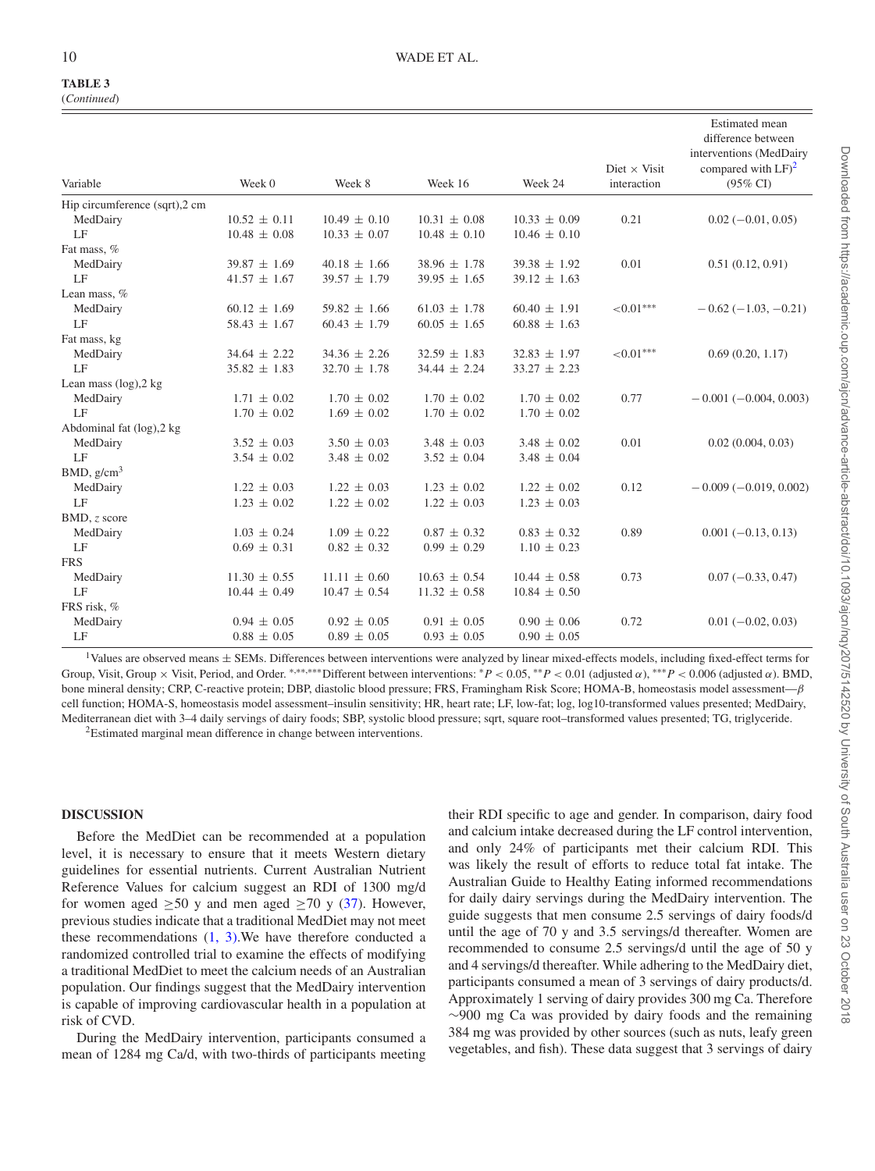#### 10 WADE ET AL.

# **TABLE 3**

| (Continued) |
|-------------|
|             |

| Variable                      | Week 0           | Week 8           | Week 16          | Week 24          | Diet $\times$ Visit<br>interaction | <b>Estimated</b> mean<br>difference between<br>interventions (MedDairy<br>compared with $LF)^2$<br>$(95\% \text{ CI})$ |
|-------------------------------|------------------|------------------|------------------|------------------|------------------------------------|------------------------------------------------------------------------------------------------------------------------|
| Hip circumference (sqrt),2 cm |                  |                  |                  |                  |                                    |                                                                                                                        |
| MedDairy                      | $10.52 \pm 0.11$ | $10.49 \pm 0.10$ | $10.31 \pm 0.08$ | $10.33 \pm 0.09$ | 0.21                               | $0.02 (-0.01, 0.05)$                                                                                                   |
| $\rm LF$                      | $10.48 \pm 0.08$ | $10.33 \pm 0.07$ | $10.48 \pm 0.10$ | $10.46 \pm 0.10$ |                                    |                                                                                                                        |
| Fat mass, %                   |                  |                  |                  |                  |                                    |                                                                                                                        |
| MedDairy                      | $39.87 \pm 1.69$ | $40.18 \pm 1.66$ | $38.96 \pm 1.78$ | $39.38 \pm 1.92$ | 0.01                               | 0.51(0.12, 0.91)                                                                                                       |
| LE                            | $41.57 \pm 1.67$ | $39.57 \pm 1.79$ | $39.95 \pm 1.65$ | $39.12 \pm 1.63$ |                                    |                                                                                                                        |
| Lean mass, %                  |                  |                  |                  |                  |                                    |                                                                                                                        |
| MedDairy                      | $60.12 \pm 1.69$ | $59.82 \pm 1.66$ | $61.03 \pm 1.78$ | $60.40 \pm 1.91$ | ${<}0.01***$                       | $-0.62(-1.03,-0.21)$                                                                                                   |
| LF                            | $58.43 \pm 1.67$ | $60.43 \pm 1.79$ | $60.05 \pm 1.65$ | $60.88 \pm 1.63$ |                                    |                                                                                                                        |
| Fat mass, kg                  |                  |                  |                  |                  |                                    |                                                                                                                        |
| MedDairy                      | $34.64 \pm 2.22$ | $34.36 \pm 2.26$ | $32.59 \pm 1.83$ | $32.83 \pm 1.97$ | ${<}0.01***$                       | 0.69(0.20, 1.17)                                                                                                       |
| LF                            | $35.82 \pm 1.83$ | $32.70 \pm 1.78$ | $34.44 \pm 2.24$ | $33.27 \pm 2.23$ |                                    |                                                                                                                        |
| Lean mass $(\log)$ , $2 \log$ |                  |                  |                  |                  |                                    |                                                                                                                        |
| MedDairy                      | $1.71 \pm 0.02$  | $1.70 \pm 0.02$  | $1.70 \pm 0.02$  | $1.70 \pm 0.02$  | 0.77                               | $-0.001(-0.004, 0.003)$                                                                                                |
| LF                            | $1.70 \pm 0.02$  | $1.69 \pm 0.02$  | $1.70 \pm 0.02$  | $1.70 \pm 0.02$  |                                    |                                                                                                                        |
| Abdominal fat (log), 2 kg     |                  |                  |                  |                  |                                    |                                                                                                                        |
| MedDairy                      | $3.52 \pm 0.03$  | $3.50 \pm 0.03$  | $3.48 \pm 0.03$  | $3.48 \pm 0.02$  | 0.01                               | 0.02(0.004, 0.03)                                                                                                      |
| LF                            | $3.54 \pm 0.02$  | $3.48 \pm 0.02$  | $3.52 \pm 0.04$  | $3.48 \pm 0.04$  |                                    |                                                                                                                        |
| BMD, $g/cm^3$                 |                  |                  |                  |                  |                                    |                                                                                                                        |
| MedDairy                      | $1.22 \pm 0.03$  | $1.22 \pm 0.03$  | $1.23 \pm 0.02$  | $1.22 \pm 0.02$  | 0.12                               | $-0.009(-0.019, 0.002)$                                                                                                |
| LF                            | $1.23 \pm 0.02$  | $1.22 \pm 0.02$  | $1.22 \pm 0.03$  | $1.23 \pm 0.03$  |                                    |                                                                                                                        |
| BMD, z score                  |                  |                  |                  |                  |                                    |                                                                                                                        |
| MedDairy                      | $1.03 \pm 0.24$  | $1.09 \pm 0.22$  | $0.87 \pm 0.32$  | $0.83 \pm 0.32$  | 0.89                               | $0.001 (-0.13, 0.13)$                                                                                                  |
| LF                            | $0.69 \pm 0.31$  | $0.82 \pm 0.32$  | $0.99 \pm 0.29$  | $1.10 \pm 0.23$  |                                    |                                                                                                                        |
| <b>FRS</b>                    |                  |                  |                  |                  |                                    |                                                                                                                        |
| MedDairy                      | $11.30 \pm 0.55$ | $11.11 \pm 0.60$ | $10.63 \pm 0.54$ | $10.44 \pm 0.58$ | 0.73                               | $0.07(-0.33, 0.47)$                                                                                                    |
| LF                            | $10.44 \pm 0.49$ | $10.47 \pm 0.54$ | $11.32 \pm 0.58$ | $10.84 \pm 0.50$ |                                    |                                                                                                                        |
| FRS risk, %                   |                  |                  |                  |                  |                                    |                                                                                                                        |
| MedDairy                      | $0.94 \pm 0.05$  | $0.92 \pm 0.05$  | $0.91 \pm 0.05$  | $0.90 \pm 0.06$  | 0.72                               | $0.01 (-0.02, 0.03)$                                                                                                   |
| LF                            | $0.88 \pm 0.05$  | $0.89 \pm 0.05$  | $0.93 \pm 0.05$  | $0.90 \pm 0.05$  |                                    |                                                                                                                        |
|                               |                  |                  |                  |                  |                                    |                                                                                                                        |

<span id="page-9-0"></span>1Values are observed means <sup>±</sup> SEMs. Differences between interventions were analyzed by linear mixed-effects models, including fixed-effect terms for Group, Visit, Group × Visit, Period, and Order. \*,\*\*,\*\*\*Different between interventions: \*P < 0.05, \*\*P < 0.01 (adjusted α), \*\*\*P < 0.006 (adjusted α). BMD, bone mineral density; CRP, C-reactive protein; DBP, diastolic blood pressure; FRS, Framingham Risk Score; HOMA-B, homeostasis model assessment—β cell function; HOMA-S, homeostasis model assessment–insulin sensitivity; HR, heart rate; LF, low-fat; log, log10-transformed values presented; MedDairy, Mediterranean diet with 3–4 daily servings of dairy foods; SBP, systolic blood pressure; sqrt, square root–transformed values presented; TG, triglyceride.

<span id="page-9-1"></span>2Estimated marginal mean difference in change between interventions.

#### **DISCUSSION**

Before the MedDiet can be recommended at a population level, it is necessary to ensure that it meets Western dietary guidelines for essential nutrients. Current Australian Nutrient Reference Values for calcium suggest an RDI of 1300 mg/d for women aged  $\geq 50$  y and men aged  $\geq 70$  y [\(37\)](#page-15-24). However, previous studies indicate that a traditional MedDiet may not meet these recommendations [\(1](#page-14-0)[, 3\).](#page-15-0)We have therefore conducted a randomized controlled trial to examine the effects of modifying a traditional MedDiet to meet the calcium needs of an Australian population. Our findings suggest that the MedDairy intervention is capable of improving cardiovascular health in a population at risk of CVD.

During the MedDairy intervention, participants consumed a mean of 1284 mg Ca/d, with two-thirds of participants meeting their RDI specific to age and gender. In comparison, dairy food and calcium intake decreased during the LF control intervention, and only 24% of participants met their calcium RDI. This was likely the result of efforts to reduce total fat intake. The Australian Guide to Healthy Eating informed recommendations for daily dairy servings during the MedDairy intervention. The guide suggests that men consume 2.5 servings of dairy foods/d until the age of 70 y and 3.5 servings/d thereafter. Women are recommended to consume 2.5 servings/d until the age of 50 y and 4 servings/d thereafter. While adhering to the MedDairy diet, participants consumed a mean of 3 servings of dairy products/d. Approximately 1 serving of dairy provides 300 mg Ca. Therefore ∼900 mg Ca was provided by dairy foods and the remaining 384 mg was provided by other sources (such as nuts, leafy green vegetables, and fish). These data suggest that 3 servings of dairy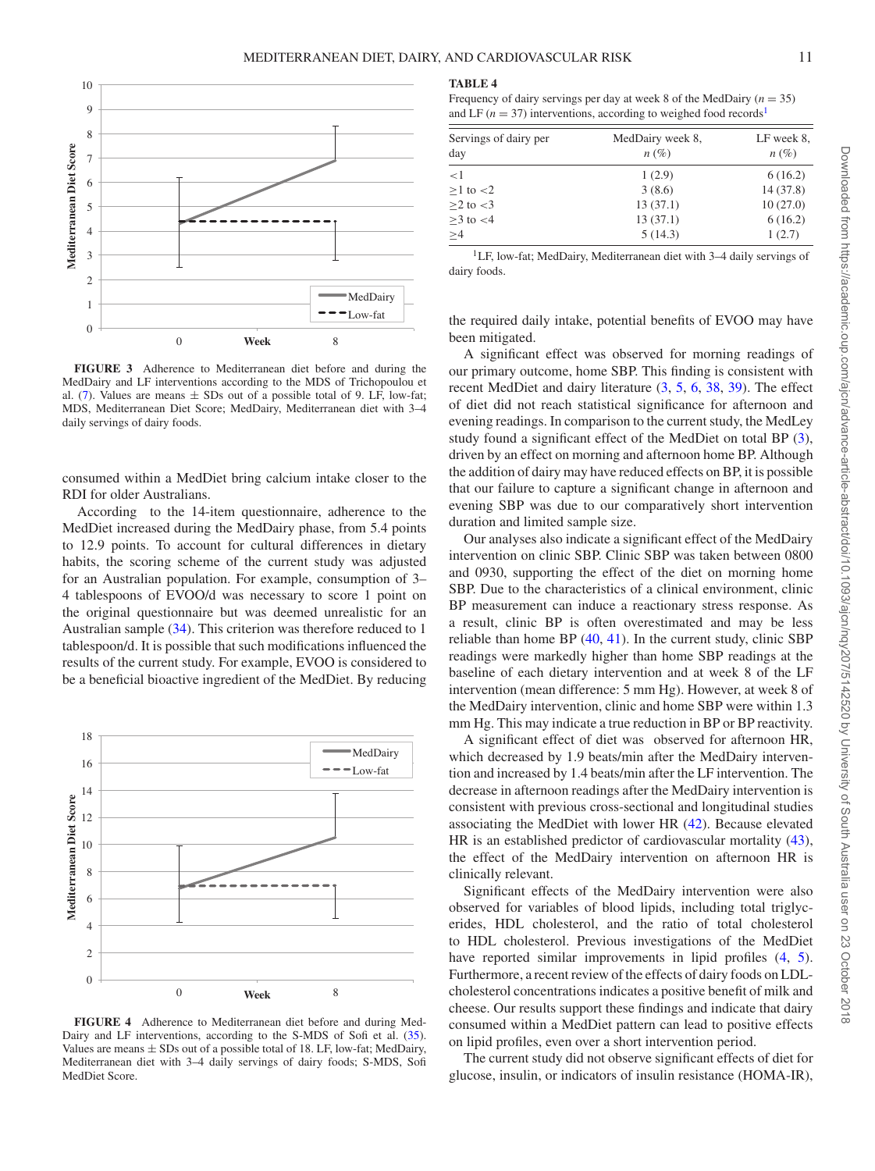<span id="page-10-0"></span>

**FIGURE 3** Adherence to Mediterranean diet before and during the MedDairy and LF interventions according to the MDS of Trichopoulou et al. [\(7\)](#page-15-21). Values are means  $\pm$  SDs out of a possible total of 9. LF, low-fat; MDS, Mediterranean Diet Score; MedDairy, Mediterranean diet with 3–4 daily servings of dairy foods.

consumed within a MedDiet bring calcium intake closer to the RDI for older Australians.

According to the 14-item questionnaire, adherence to the MedDiet increased during the MedDairy phase, from 5.4 points to 12.9 points. To account for cultural differences in dietary habits, the scoring scheme of the current study was adjusted for an Australian population. For example, consumption of 3– 4 tablespoons of EVOO/d was necessary to score 1 point on the original questionnaire but was deemed unrealistic for an Australian sample [\(34\)](#page-15-20). This criterion was therefore reduced to 1 tablespoon/d. It is possible that such modifications influenced the results of the current study. For example, EVOO is considered to be a beneficial bioactive ingredient of the MedDiet. By reducing

<span id="page-10-1"></span>

**FIGURE 4** Adherence to Mediterranean diet before and during Med-Dairy and LF interventions, according to the S-MDS of Sofi et al. [\(35\)](#page-15-22). Values are means  $\pm$  SDs out of a possible total of 18. LF, low-fat; MedDairy, Mediterranean diet with 3–4 daily servings of dairy foods; S-MDS, Sofi MedDiet Score.

#### <span id="page-10-2"></span>**TABLE 4**

Frequency of dairy servings per day at week 8 of the MedDairy  $(n = 35)$ and LF  $(n = 37)$  interventions, according to weighed food records<sup>[1](#page-10-3)</sup>

| Servings of dairy per<br>day | MedDairy week 8,<br>$n(\%)$ | LF week 8,<br>$n(\%)$ |  |
|------------------------------|-----------------------------|-----------------------|--|
| <1                           | 1(2.9)                      | 6(16.2)               |  |
| $\geq$ 1 to $<$ 2            | 3(8.6)                      | 14(37.8)              |  |
| $>2$ to $<3$                 | 13(37.1)                    | 10(27.0)              |  |
| $>3$ to $<4$                 | 13(37.1)                    | 6(16.2)               |  |
| $\geq 4$                     | 5(14.3)                     | 1(2.7)                |  |

<span id="page-10-3"></span>1LF, low-fat; MedDairy, Mediterranean diet with 3–4 daily servings of dairy foods.

the required daily intake, potential benefits of EVOO may have been mitigated.

A significant effect was observed for morning readings of our primary outcome, home SBP. This finding is consistent with recent MedDiet and dairy literature [\(3,](#page-15-0) [5,](#page-15-4) [6,](#page-15-25) [38,](#page-15-26) [39\)](#page-15-27). The effect of diet did not reach statistical significance for afternoon and evening readings. In comparison to the current study, the MedLey study found a significant effect of the MedDiet on total BP [\(3\)](#page-15-0), driven by an effect on morning and afternoon home BP. Although the addition of dairy may have reduced effects on BP, it is possible that our failure to capture a significant change in afternoon and evening SBP was due to our comparatively short intervention duration and limited sample size.

Our analyses also indicate a significant effect of the MedDairy intervention on clinic SBP. Clinic SBP was taken between 0800 and 0930, supporting the effect of the diet on morning home SBP. Due to the characteristics of a clinical environment, clinic BP measurement can induce a reactionary stress response. As a result, clinic BP is often overestimated and may be less reliable than home BP [\(40,](#page-15-28) [41\)](#page-15-29). In the current study, clinic SBP readings were markedly higher than home SBP readings at the baseline of each dietary intervention and at week 8 of the LF intervention (mean difference: 5 mm Hg). However, at week 8 of the MedDairy intervention, clinic and home SBP were within 1.3 mm Hg. This may indicate a true reduction in BP or BP reactivity.

A significant effect of diet was observed for afternoon HR, which decreased by 1.9 beats/min after the MedDairy intervention and increased by 1.4 beats/min after the LF intervention. The decrease in afternoon readings after the MedDairy intervention is consistent with previous cross-sectional and longitudinal studies associating the MedDiet with lower HR [\(42\)](#page-16-1). Because elevated HR is an established predictor of cardiovascular mortality [\(43\)](#page-16-2), the effect of the MedDairy intervention on afternoon HR is clinically relevant.

Significant effects of the MedDairy intervention were also observed for variables of blood lipids, including total triglycerides, HDL cholesterol, and the ratio of total cholesterol to HDL cholesterol. Previous investigations of the MedDiet have reported similar improvements in lipid profiles  $(4, 5)$  $(4, 5)$  $(4, 5)$ . Furthermore, a recent review of the effects of dairy foods on LDLcholesterol concentrations indicates a positive benefit of milk and cheese. Our results support these findings and indicate that dairy consumed within a MedDiet pattern can lead to positive effects on lipid profiles, even over a short intervention period.

The current study did not observe significant effects of diet for glucose, insulin, or indicators of insulin resistance (HOMA-IR),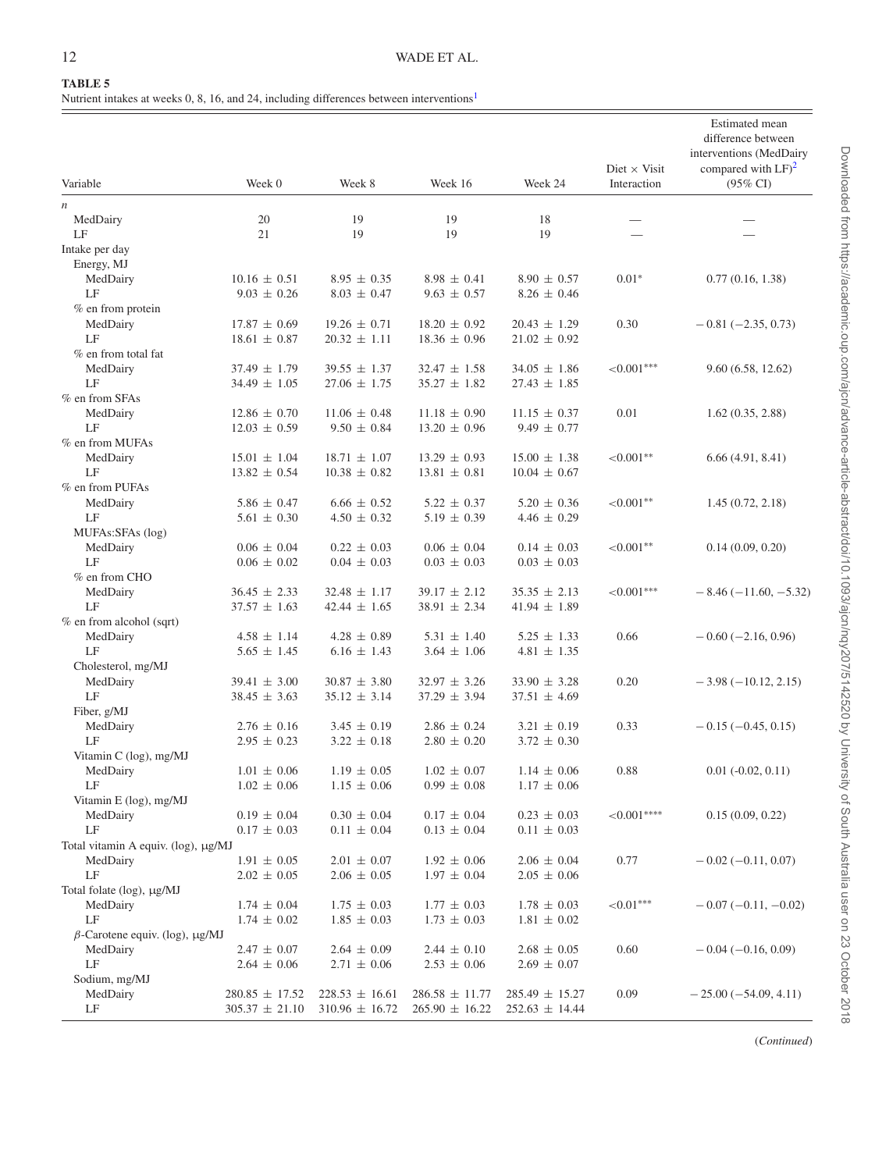<span id="page-11-0"></span>Nutrient intakes at weeks 0, 8, 16, and 24, including differences between interventions<sup>1</sup>

|                                       |                                          |                                          |                                          | Week 24                                  | Diet $\times$ Visit | Estimated mean<br>difference between<br>interventions (MedDairy<br>compared with $LF)^2$ |
|---------------------------------------|------------------------------------------|------------------------------------------|------------------------------------------|------------------------------------------|---------------------|------------------------------------------------------------------------------------------|
| Variable                              | Week 0                                   | Week 8                                   | Week 16                                  |                                          | Interaction         | (95% CI)                                                                                 |
| $\boldsymbol{n}$<br>MedDairy          | 20                                       | 19                                       | 19                                       | 18                                       |                     |                                                                                          |
| LF                                    | 21                                       | 19                                       | 19                                       | 19                                       |                     |                                                                                          |
| Intake per day                        |                                          |                                          |                                          |                                          |                     |                                                                                          |
| Energy, MJ                            |                                          |                                          |                                          |                                          |                     |                                                                                          |
| MedDairy                              | $10.16 \pm 0.51$                         | $8.95 \pm 0.35$                          | $8.98 \pm 0.41$                          | $8.90 \pm 0.57$                          | $0.01*$             | 0.77(0.16, 1.38)                                                                         |
| LF                                    | $9.03 \pm 0.26$                          | $8.03 \pm 0.47$                          | $9.63 \pm 0.57$                          | $8.26 \pm 0.46$                          |                     |                                                                                          |
| % en from protein                     |                                          |                                          |                                          |                                          |                     |                                                                                          |
| MedDairy                              | $17.87 \pm 0.69$                         | $19.26 \pm 0.71$                         | $18.20 \pm 0.92$                         | $20.43 \pm 1.29$                         | 0.30                | $-0.81(-2.35, 0.73)$                                                                     |
| LF                                    | $18.61 \pm 0.87$                         | $20.32 \pm 1.11$                         | $18.36 \pm 0.96$                         | $21.02 \pm 0.92$                         |                     |                                                                                          |
| % en from total fat                   |                                          |                                          |                                          |                                          |                     |                                                                                          |
| MedDairy                              | $37.49 \pm 1.79$                         | $39.55 \pm 1.37$                         | $32.47 \pm 1.58$                         | $34.05 \pm 1.86$                         | $<0.001***$         | 9.60(6.58, 12.62)                                                                        |
| LF                                    | $34.49 \pm 1.05$                         | $27.06 \pm 1.75$                         | $35.27 \pm 1.82$                         | $27.43 \pm 1.85$                         |                     |                                                                                          |
| % en from SFAs                        |                                          |                                          |                                          |                                          |                     |                                                                                          |
| MedDairy                              | $12.86 \pm 0.70$                         | $11.06 \pm 0.48$                         | $11.18 \pm 0.90$                         | $11.15 \pm 0.37$                         | 0.01                | 1.62(0.35, 2.88)                                                                         |
| LF                                    | $12.03 \pm 0.59$                         | $9.50 \pm 0.84$                          | $13.20 \pm 0.96$                         | $9.49 \pm 0.77$                          |                     |                                                                                          |
| % en from MUFAs                       |                                          |                                          |                                          |                                          |                     |                                                                                          |
| MedDairy                              | $15.01 \pm 1.04$                         | $18.71 \pm 1.07$                         | $13.29 \pm 0.93$                         | $15.00 \pm 1.38$                         | $<0.001**$          | 6.66(4.91, 8.41)                                                                         |
| LF                                    | $13.82 \pm 0.54$                         | $10.38 \pm 0.82$                         | $13.81 \pm 0.81$                         | $10.04 \pm 0.67$                         |                     |                                                                                          |
| % en from PUFAs                       |                                          |                                          |                                          |                                          |                     |                                                                                          |
| MedDairy                              | $5.86 \pm 0.47$                          | $6.66 \pm 0.52$                          | $5.22 \pm 0.37$                          | $5.20 \pm 0.36$                          | ${<}0.001**$        | 1.45(0.72, 2.18)                                                                         |
| LF                                    | $5.61 \pm 0.30$                          | $4.50 \pm 0.32$                          | $5.19 \pm 0.39$                          | 4.46 $\pm$ 0.29                          |                     |                                                                                          |
| MUFAs:SFAs (log)                      |                                          |                                          |                                          |                                          |                     |                                                                                          |
| MedDairy                              | $0.06 \pm 0.04$                          | $0.22 \pm 0.03$                          | $0.06 \pm 0.04$                          | $0.14 \pm 0.03$                          | $<0.001**$          | 0.14(0.09, 0.20)                                                                         |
| LF                                    | $0.06 \pm 0.02$                          | $0.04 \pm 0.03$                          | $0.03 \pm 0.03$                          | $0.03 \pm 0.03$                          |                     |                                                                                          |
| % en from CHO                         |                                          | $32.48 \pm 1.17$                         | $39.17 \pm 2.12$                         | $35.35 \pm 2.13$                         | ${<}0.001***$       |                                                                                          |
| MedDairy<br>LF                        | $36.45 \pm 2.33$<br>$37.57 \pm 1.63$     | $42.44 \pm 1.65$                         | $38.91 \pm 2.34$                         | $41.94 \pm 1.89$                         |                     | $-8.46(-11.60, -5.32)$                                                                   |
| % en from alcohol (sqrt)              |                                          |                                          |                                          |                                          |                     |                                                                                          |
| MedDairy                              | $4.58 \pm 1.14$                          | $4.28 \pm 0.89$                          | $5.31 \pm 1.40$                          | $5.25 \pm 1.33$                          | 0.66                | $-0.60$ ( $-2.16, 0.96$ )                                                                |
| LF                                    | $5.65 \pm 1.45$                          | $6.16 \pm 1.43$                          | $3.64 \pm 1.06$                          | $4.81 \pm 1.35$                          |                     |                                                                                          |
| Cholesterol, mg/MJ                    |                                          |                                          |                                          |                                          |                     |                                                                                          |
| MedDairy                              | $39.41 \pm 3.00$                         | $30.87 \pm 3.80$                         | $32.97 \pm 3.26$                         | $33.90 \pm 3.28$                         | 0.20                | $-3.98(-10.12, 2.15)$                                                                    |
| LF                                    | $38.45 \pm 3.63$                         | $35.12 \pm 3.14$                         | $37.29 \pm 3.94$                         | $37.51 \pm 4.69$                         |                     |                                                                                          |
| Fiber, g/MJ                           |                                          |                                          |                                          |                                          |                     |                                                                                          |
| MedDairy                              | $2.76 \pm 0.16$                          | $3.45 \pm 0.19$                          | $2.86 \pm 0.24$                          | $3.21 \pm 0.19$                          | 0.33                | $-0.15(-0.45, 0.15)$                                                                     |
| LF                                    | $2.95 \pm 0.23$                          | $3.22 \pm 0.18$                          | $2.80 \pm 0.20$                          | $3.72 \pm 0.30$                          |                     |                                                                                          |
| Vitamin C (log), mg/MJ                |                                          |                                          |                                          |                                          |                     |                                                                                          |
| MedDairy                              | $1.01 \pm 0.06$                          | $1.19 \pm 0.05$                          | $1.02 \pm 0.07$                          | $1.14 \pm 0.06$                          | 0.88                | $0.01 (-0.02, 0.11)$                                                                     |
| LF                                    | $1.02 \pm 0.06$                          | $1.15 \pm 0.06$                          | $0.99 \pm 0.08$                          | $1.17 \pm 0.06$                          |                     |                                                                                          |
| Vitamin E (log), mg/MJ                |                                          |                                          |                                          |                                          |                     |                                                                                          |
| MedDairy                              | $0.19 \pm 0.04$                          | $0.30 \pm 0.04$                          | $0.17 \pm 0.04$                          | $0.23 \pm 0.03$                          | ${<}0.001***$       | 0.15(0.09, 0.22)                                                                         |
| LF                                    | $0.17 \pm 0.03$                          | $0.11 \pm 0.04$                          | $0.13 \pm 0.04$                          | $0.11 \pm 0.03$                          |                     |                                                                                          |
| Total vitamin A equiv. (log), μg/MJ   |                                          |                                          |                                          |                                          |                     |                                                                                          |
| MedDairy                              | $1.91 \pm 0.05$                          | $2.01 \pm 0.07$                          | $1.92 \pm 0.06$                          | $2.06 \pm 0.04$                          | 0.77                | $-0.02(-0.11, 0.07)$                                                                     |
| LF                                    | $2.02 \pm 0.05$                          | $2.06 \pm 0.05$                          | $1.97 \pm 0.04$                          | $2.05 \pm 0.06$                          |                     |                                                                                          |
| Total folate (log), µg/MJ             |                                          |                                          |                                          |                                          |                     |                                                                                          |
| MedDairy                              | $1.74 \pm 0.04$                          | $1.75 \pm 0.03$                          | $1.77 \pm 0.03$                          | $1.78 \pm 0.03$                          | ${<}0.01***$        | $-0.07(-0.11,-0.02)$                                                                     |
| LF                                    | $1.74 \pm 0.02$                          | $1.85 \pm 0.03$                          | $1.73 \pm 0.03$                          | $1.81 \pm 0.02$                          |                     |                                                                                          |
| $\beta$ -Carotene equiv. (log), µg/MJ |                                          |                                          |                                          |                                          |                     |                                                                                          |
| MedDairy                              | $2.47 \pm 0.07$                          | $2.64 \pm 0.09$                          | $2.44 \pm 0.10$                          | $2.68 \pm 0.05$                          | 0.60                | $-0.04(-0.16, 0.09)$                                                                     |
| LF                                    | $2.64 \pm 0.06$                          | $2.71 \pm 0.06$                          | $2.53 \pm 0.06$                          | $2.69 \pm 0.07$                          |                     |                                                                                          |
| Sodium, mg/MJ                         |                                          |                                          |                                          |                                          |                     |                                                                                          |
| MedDairy<br>LF                        | $280.85 \pm 17.52$<br>$305.37 \pm 21.10$ | $228.53 \pm 16.61$<br>$310.96 \pm 16.72$ | $286.58 \pm 11.77$<br>$265.90 \pm 16.22$ | $285.49 \pm 15.27$<br>$252.63 \pm 14.44$ | 0.09                | $-25.00(-54.09, 4.11)$                                                                   |

(*Continued*)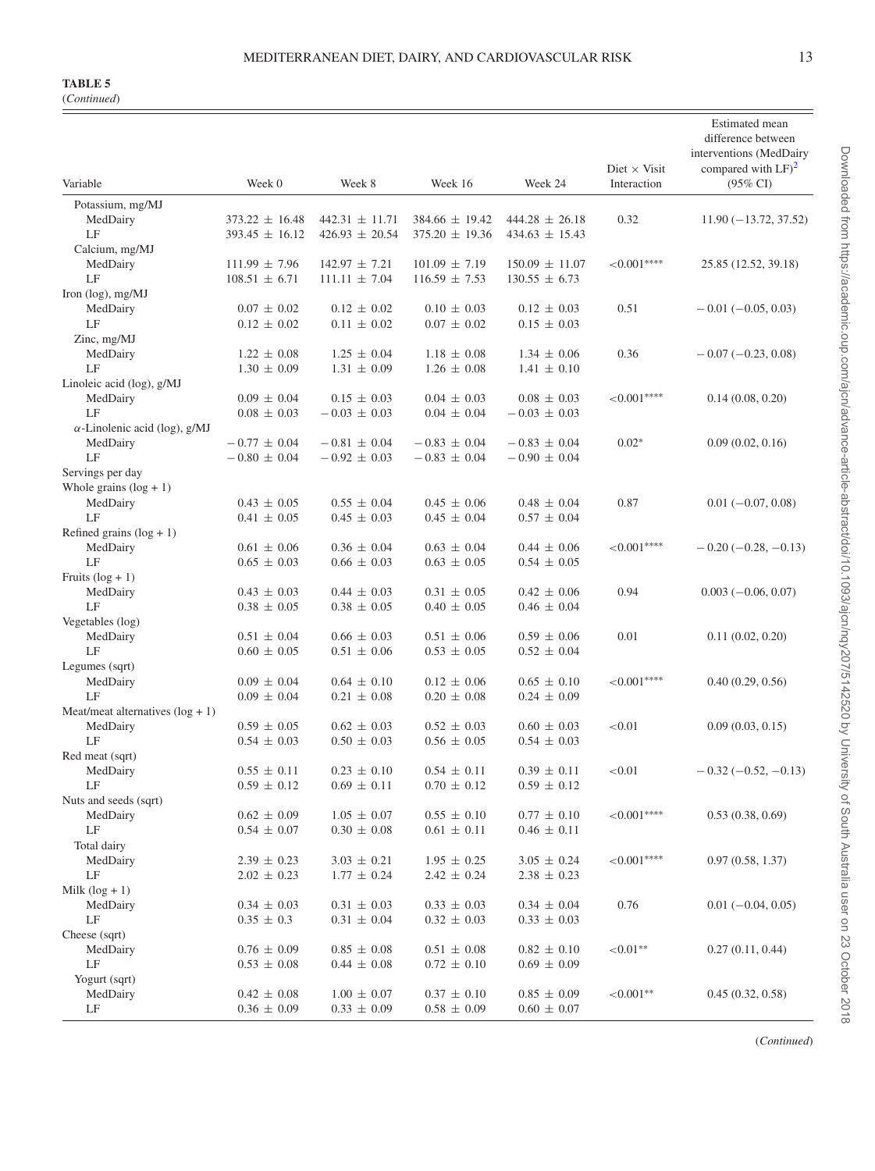(*Continued*)

| Variable                             | Week 0                               | Week 8             | Week 16            | Week 24                            | Diet $\times$ Visit<br>Interaction | <b>Estimated</b> mean<br>difference between<br>interventions (MedDairy<br>compared with $LF)^2$<br>$(95\% \text{ CI})$ |
|--------------------------------------|--------------------------------------|--------------------|--------------------|------------------------------------|------------------------------------|------------------------------------------------------------------------------------------------------------------------|
| Potassium, mg/MJ                     |                                      |                    |                    |                                    |                                    |                                                                                                                        |
| MedDairy                             | $373.22 \pm 16.48$                   | $442.31 \pm 11.71$ | $384.66 \pm 19.42$ | $444.28 \pm 26.18$                 | 0.32                               | $11.90(-13.72, 37.52)$                                                                                                 |
| LF                                   | $393.45 \pm 16.12$                   | $426.93 \pm 20.54$ | $375.20 \pm 19.36$ | $434.63 \pm 15.43$                 |                                    |                                                                                                                        |
| Calcium, mg/MJ                       |                                      |                    |                    |                                    |                                    |                                                                                                                        |
| MedDairy                             | $111.99 \pm 7.96$                    | $142.97 \pm 7.21$  | $101.09 \pm 7.19$  | $150.09 \pm 11.07$                 | ${<}0.001***$                      | 25.85 (12.52, 39.18)                                                                                                   |
| LF                                   | $108.51 \pm 6.71$                    | $111.11 \pm 7.04$  | $116.59 \pm 7.53$  | $130.55 \pm 6.73$                  |                                    |                                                                                                                        |
| Iron (log), mg/MJ                    |                                      |                    |                    |                                    |                                    |                                                                                                                        |
| MedDairy                             | $0.07 \pm 0.02$                      | $0.12 \pm 0.02$    | $0.10 \pm 0.03$    | $0.12 \pm 0.03$                    | 0.51                               | $-0.01(-0.05, 0.03)$                                                                                                   |
| LF                                   | $0.12 \pm 0.02$                      | $0.11 \pm 0.02$    | $0.07 \pm 0.02$    | $0.15 \pm 0.03$                    |                                    |                                                                                                                        |
| $\rm Zinc$ , mg/MJ                   |                                      |                    |                    |                                    |                                    |                                                                                                                        |
| MedDairy                             | $1.22 \pm 0.08$                      | $1.25 \pm 0.04$    | $1.18 \pm 0.08$    | $1.34 \pm 0.06$                    | 0.36                               | $-0.07(-0.23, 0.08)$                                                                                                   |
| LF                                   | $1.30 \pm 0.09$                      | $1.31 \pm 0.09$    | $1.26 \pm 0.08$    | $1.41 \pm 0.10$                    |                                    |                                                                                                                        |
| Linoleic acid (log), g/MJ            |                                      |                    |                    |                                    |                                    |                                                                                                                        |
| MedDairy                             | $0.09 \pm 0.04$                      | $0.15 \pm 0.03$    | $0.04 \pm 0.03$    | $0.08 \pm 0.03$                    | ${<}0.001***$                      | 0.14(0.08, 0.20)                                                                                                       |
| LF                                   | $0.08 \pm 0.03$                      | $-0.03 \pm 0.03$   | $0.04 \pm 0.04$    | $-0.03 \pm 0.03$                   |                                    |                                                                                                                        |
| $\alpha$ -Linolenic acid (log), g/MJ |                                      | $-0.81 \pm 0.04$   | $-0.83 \pm 0.04$   | $-0.83 \pm 0.04$                   | $0.02*$                            | 0.09(0.02, 0.16)                                                                                                       |
| MedDairy<br>LF                       | $-0.77 \pm 0.04$<br>$-0.80 \pm 0.04$ | $-0.92 \pm 0.03$   | $-0.83 \pm 0.04$   | $-0.90 \pm 0.04$                   |                                    |                                                                                                                        |
| Servings per day                     |                                      |                    |                    |                                    |                                    |                                                                                                                        |
| Whole grains $(\log + 1)$            |                                      |                    |                    |                                    |                                    |                                                                                                                        |
| MedDairy                             | $0.43 \pm 0.05$                      | $0.55 \pm 0.04$    | $0.45 \pm 0.06$    | $0.48 \pm 0.04$                    | 0.87                               | $0.01 (-0.07, 0.08)$                                                                                                   |
| LF                                   | $0.41 \pm 0.05$                      | $0.45 \pm 0.03$    | $0.45 \pm 0.04$    | $0.57 \pm 0.04$                    |                                    |                                                                                                                        |
| Refined grains $(\log + 1)$          |                                      |                    |                    |                                    |                                    |                                                                                                                        |
| MedDairy                             | $0.61 \pm 0.06$                      | $0.36 \pm 0.04$    | $0.63 \pm 0.04$    | $0.44 \pm 0.06$                    | ${<}0.001***$                      | $-0.20(-0.28, -0.13)$                                                                                                  |
| LF                                   | $0.65 \pm 0.03$                      | $0.66 \pm 0.03$    | $0.63 \pm 0.05$    | $0.54 \pm 0.05$                    |                                    |                                                                                                                        |
| Fruits $(\log + 1)$                  |                                      |                    |                    |                                    |                                    |                                                                                                                        |
| MedDairy                             | $0.43 \pm 0.03$                      | $0.44 \pm 0.03$    | $0.31 \pm 0.05$    | $0.42 \pm 0.06$                    | 0.94                               | $0.003(-0.06, 0.07)$                                                                                                   |
| LF                                   | $0.38 \pm 0.05$                      | $0.38 \pm 0.05$    | $0.40 \pm 0.05$    | $0.46 \pm 0.04$                    |                                    |                                                                                                                        |
| Vegetables (log)                     |                                      |                    |                    |                                    |                                    |                                                                                                                        |
| MedDairy                             | $0.51 \pm 0.04$                      | $0.66 \pm 0.03$    | $0.51 \pm 0.06$    | $0.59 \pm 0.06$                    | 0.01                               | 0.11(0.02, 0.20)                                                                                                       |
| LF                                   | $0.60 \pm 0.05$                      | $0.51 \pm 0.06$    | $0.53 \pm 0.05$    | $0.52 \pm 0.04$                    |                                    |                                                                                                                        |
| Legumes (sqrt)                       |                                      | $0.64 \pm 0.10$    | $0.12 \pm 0.06$    |                                    | ${<}0.001***$                      |                                                                                                                        |
| MedDairy<br>LF                       | $0.09 \pm 0.04$<br>$0.09 \pm 0.04$   | $0.21 \pm 0.08$    | $0.20 \pm 0.08$    | $0.65 \pm 0.10$<br>$0.24 \pm 0.09$ |                                    | 0.40(0.29, 0.56)                                                                                                       |
| Meat/meat alternatives $(\log + 1)$  |                                      |                    |                    |                                    |                                    |                                                                                                                        |
| MedDairy                             | $0.59 \pm 0.05$                      | $0.62 \pm 0.03$    | $0.52 \pm 0.03$    | $0.60 \pm 0.03$                    | < 0.01                             | 0.09(0.03, 0.15)                                                                                                       |
| LF                                   | $0.54 \pm 0.03$                      | $0.50 \pm 0.03$    | $0.56 \pm 0.05$    | $0.54 \pm 0.03$                    |                                    |                                                                                                                        |
| Red meat (sqrt)                      |                                      |                    |                    |                                    |                                    |                                                                                                                        |
| MedDairy                             | $0.55 \pm 0.11$                      | $0.23 \pm 0.10$    | $0.54 \pm 0.11$    | $0.39 \pm 0.11$                    | < 0.01                             | $-0.32(-0.52,-0.13)$                                                                                                   |
| LF                                   | $0.59 \pm 0.12$                      | $0.69 \pm 0.11$    | $0.70 \pm 0.12$    | $0.59 \pm 0.12$                    |                                    |                                                                                                                        |
| Nuts and seeds (sqrt)                |                                      |                    |                    |                                    |                                    |                                                                                                                        |
| MedDairy                             | $0.62 \pm 0.09$                      | $1.05 \pm 0.07$    | $0.55 \pm 0.10$    | $0.77 \pm 0.10$                    | ${<}0.001***$                      | 0.53(0.38, 0.69)                                                                                                       |
| LF                                   | $0.54 \pm 0.07$                      | $0.30 \pm 0.08$    | $0.61 \pm 0.11$    | $0.46 \pm 0.11$                    |                                    |                                                                                                                        |
| Total dairy                          |                                      |                    |                    |                                    |                                    |                                                                                                                        |
| MedDairy                             | $2.39 \pm 0.23$                      | $3.03 \pm 0.21$    | $1.95 \pm 0.25$    | $3.05 \pm 0.24$                    | ${<}0.001***$                      | 0.97(0.58, 1.37)                                                                                                       |
| LF                                   | $2.02 \pm 0.23$                      | $1.77 \pm 0.24$    | $2.42 \pm 0.24$    | $2.38 \pm 0.23$                    |                                    |                                                                                                                        |
| Milk $(log + 1)$                     |                                      |                    |                    |                                    |                                    |                                                                                                                        |
| MedDairy                             | $0.34 \pm 0.03$                      | $0.31 \pm 0.03$    | $0.33 \pm 0.03$    | $0.34 \pm 0.04$                    | 0.76                               | $0.01 (-0.04, 0.05)$                                                                                                   |
| LF<br>Cheese (sqrt)                  | $0.35 \pm 0.3$                       | $0.31 \pm 0.04$    | $0.32 \pm 0.03$    | $0.33 \pm 0.03$                    |                                    |                                                                                                                        |
| MedDairy                             | $0.76 \pm 0.09$                      | $0.85 \pm 0.08$    | $0.51 \pm 0.08$    | $0.82 \pm 0.10$                    | ${<}0.01**$                        | 0.27(0.11, 0.44)                                                                                                       |
| LF                                   | $0.53 \pm 0.08$                      | $0.44 \pm 0.08$    | $0.72 \pm 0.10$    | $0.69 \pm 0.09$                    |                                    |                                                                                                                        |
| Yogurt (sqrt)                        |                                      |                    |                    |                                    |                                    |                                                                                                                        |
| MedDairy                             | $0.42 \pm 0.08$                      | $1.00 \pm 0.07$    | $0.37 \pm 0.10$    | $0.85 \pm 0.09$                    | ${<}0.001**$                       | 0.45(0.32, 0.58)                                                                                                       |
| LF                                   | $0.36 \pm 0.09$                      | $0.33 \pm 0.09$    | $0.58 \pm 0.09$    | $0.60 \pm 0.07$                    |                                    |                                                                                                                        |

(*Continued*)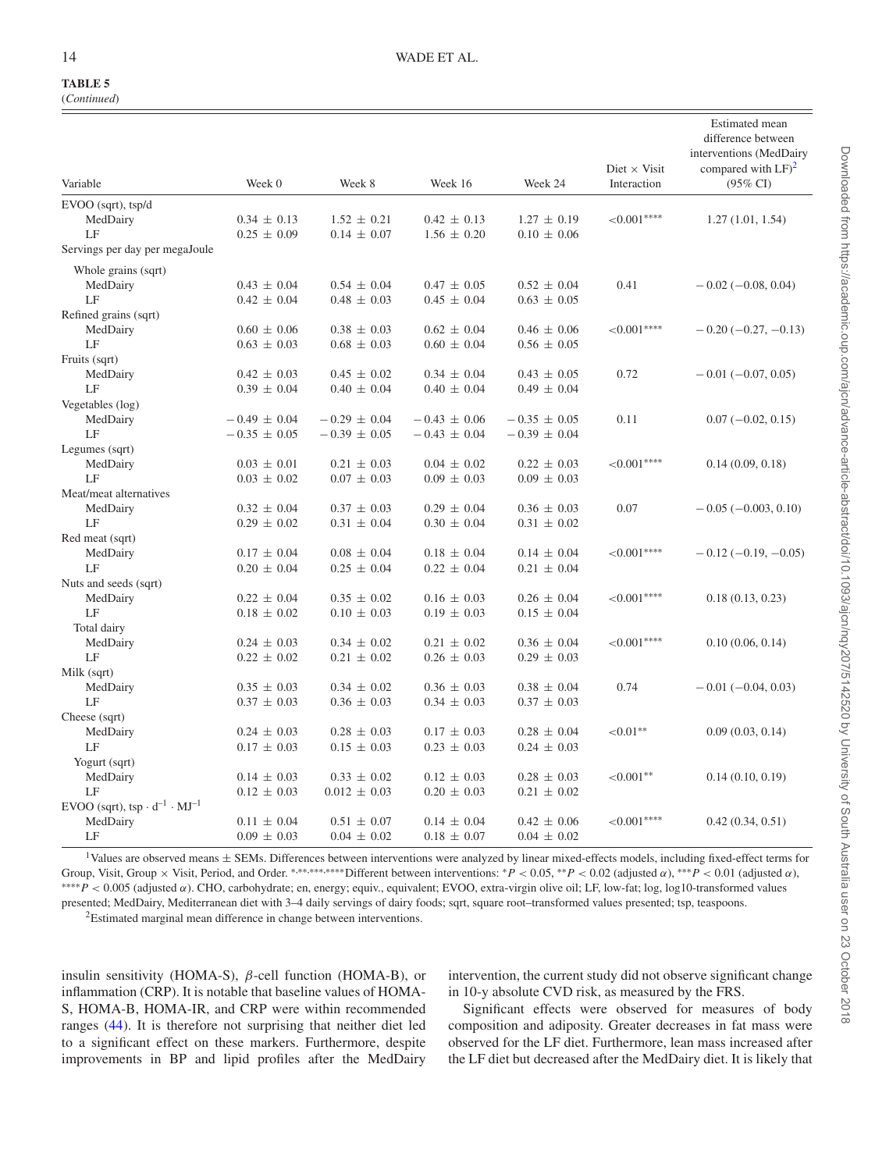(*Continued*)

| Variable                                                          | Week 0           | Week 8            | Week 16          | Week 24          | Diet $\times$ Visit<br>Interaction | difference between<br>interventions (MedDairy<br>compared with $LF)^2$<br>$(95\% \text{ CI})$ |
|-------------------------------------------------------------------|------------------|-------------------|------------------|------------------|------------------------------------|-----------------------------------------------------------------------------------------------|
| EVOO (sqrt), tsp/d                                                |                  |                   |                  |                  |                                    |                                                                                               |
| MedDairy                                                          | $0.34 \pm 0.13$  | $1.52 \pm 0.21$   | $0.42 \pm 0.13$  | $1.27 \pm 0.19$  | ${<}0.001***$                      | 1.27(1.01, 1.54)                                                                              |
| LF                                                                | $0.25 \pm 0.09$  | $0.14 \pm 0.07$   | $1.56 \pm 0.20$  | $0.10 \pm 0.06$  |                                    |                                                                                               |
| Servings per day per megaJoule                                    |                  |                   |                  |                  |                                    |                                                                                               |
| Whole grains (sqrt)                                               |                  |                   |                  |                  |                                    |                                                                                               |
| MedDairy                                                          | $0.43 \pm 0.04$  | $0.54 \pm 0.04$   | $0.47 \pm 0.05$  | $0.52 \pm 0.04$  | 0.41                               | $-0.02(-0.08, 0.04)$                                                                          |
| LF                                                                | $0.42 \pm 0.04$  | $0.48 \pm 0.03$   | $0.45 \pm 0.04$  | $0.63 \pm 0.05$  |                                    |                                                                                               |
| Refined grains (sqrt)                                             |                  |                   |                  |                  |                                    |                                                                                               |
| MedDairy                                                          | $0.60 \pm 0.06$  | $0.38 \pm 0.03$   | $0.62 \pm 0.04$  | $0.46 \pm 0.06$  | ${<}0.001***$                      | $-0.20$ ( $-0.27, -0.13$ )                                                                    |
| LF                                                                | $0.63 \pm 0.03$  | $0.68 \pm 0.03$   | $0.60 \pm 0.04$  | $0.56 \pm 0.05$  |                                    |                                                                                               |
| Fruits (sqrt)                                                     |                  |                   |                  |                  |                                    |                                                                                               |
| MedDairy                                                          | $0.42 \pm 0.03$  | $0.45 \pm 0.02$   | $0.34 \pm 0.04$  | $0.43 \pm 0.05$  | 0.72                               | $-0.01(-0.07, 0.05)$                                                                          |
| LF                                                                | $0.39 \pm 0.04$  | $0.40 \pm 0.04$   | $0.40 \pm 0.04$  | $0.49 \pm 0.04$  |                                    |                                                                                               |
| Vegetables (log)                                                  |                  |                   |                  |                  |                                    |                                                                                               |
| MedDairy                                                          | $-0.49 \pm 0.04$ | $-0.29 \pm 0.04$  | $-0.43 \pm 0.06$ | $-0.35 \pm 0.05$ | 0.11                               | $0.07 (-0.02, 0.15)$                                                                          |
| LF                                                                | $-0.35 \pm 0.05$ | $-0.39 \pm 0.05$  | $-0.43 \pm 0.04$ | $-0.39 \pm 0.04$ |                                    |                                                                                               |
| Legumes (sqrt)                                                    |                  |                   |                  |                  |                                    |                                                                                               |
| MedDairy                                                          | $0.03 \pm 0.01$  | $0.21 \pm 0.03$   | $0.04 \pm 0.02$  | $0.22 \pm 0.03$  | ${<}0.001***$                      | 0.14(0.09, 0.18)                                                                              |
| LF                                                                | $0.03 \pm 0.02$  | $0.07 \pm 0.03$   | $0.09 \pm 0.03$  | $0.09 \pm 0.03$  |                                    |                                                                                               |
| Meat/meat alternatives                                            |                  |                   |                  |                  |                                    |                                                                                               |
| MedDairy                                                          | $0.32 \pm 0.04$  | $0.37 \pm 0.03$   | $0.29 \pm 0.04$  | $0.36 \pm 0.03$  | 0.07                               | $-0.05(-0.003, 0.10)$                                                                         |
| LF                                                                | $0.29 \pm 0.02$  | $0.31 \pm 0.04$   | $0.30 \pm 0.04$  | $0.31 \pm 0.02$  |                                    |                                                                                               |
| Red meat (sqrt)                                                   |                  |                   |                  |                  |                                    |                                                                                               |
| MedDairy                                                          | $0.17 \pm 0.04$  | $0.08\,\pm\,0.04$ | $0.18 \pm 0.04$  | $0.14 \pm 0.04$  | ${<}0.001***$                      | $-0.12(-0.19, -0.05)$                                                                         |
| LF                                                                | $0.20 \pm 0.04$  | $0.25 \pm 0.04$   | $0.22 \pm 0.04$  | $0.21 \pm 0.04$  |                                    |                                                                                               |
| Nuts and seeds (sqrt)                                             |                  |                   |                  |                  |                                    |                                                                                               |
| MedDairy                                                          | $0.22 \pm 0.04$  | $0.35 \pm 0.02$   | $0.16 \pm 0.03$  | $0.26 \pm 0.04$  | ${<}0.001***$                      | 0.18(0.13, 0.23)                                                                              |
| LF                                                                | $0.18 \pm 0.02$  | $0.10 \pm 0.03$   | $0.19 \pm 0.03$  | $0.15 \pm 0.04$  |                                    |                                                                                               |
| Total dairy                                                       |                  |                   |                  |                  |                                    |                                                                                               |
| MedDairy                                                          | $0.24 \pm 0.03$  | $0.34 \pm 0.02$   | $0.21 \pm 0.02$  | $0.36 \pm 0.04$  | ${<}0.001***$                      | 0.10(0.06, 0.14)                                                                              |
| LF                                                                | $0.22 \pm 0.02$  | $0.21 \pm 0.02$   | $0.26 \pm 0.03$  | $0.29 \pm 0.03$  |                                    |                                                                                               |
| Milk (sqrt)                                                       |                  |                   |                  |                  |                                    |                                                                                               |
| MedDairy                                                          | $0.35 \pm 0.03$  | $0.34 \pm 0.02$   | $0.36 \pm 0.03$  | $0.38 \pm 0.04$  | 0.74                               | $-0.01(-0.04, 0.03)$                                                                          |
| LF                                                                | $0.37 \pm 0.03$  | $0.36 \pm 0.03$   | $0.34 \pm 0.03$  | $0.37 \pm 0.03$  |                                    |                                                                                               |
| Cheese (sqrt)                                                     |                  |                   |                  |                  |                                    |                                                                                               |
| MedDairy                                                          | $0.24 \pm 0.03$  | $0.28 \pm 0.03$   | $0.17 \pm 0.03$  | $0.28 \pm 0.04$  | ${<}0.01**$                        | 0.09(0.03, 0.14)                                                                              |
| LF                                                                | $0.17 \pm 0.03$  | $0.15 \pm 0.03$   | $0.23 \pm 0.03$  | $0.24 \pm 0.03$  |                                    |                                                                                               |
| Yogurt (sqrt)                                                     |                  |                   |                  |                  |                                    |                                                                                               |
| MedDairy                                                          | $0.14 \pm 0.03$  | $0.33 \pm 0.02$   | $0.12 \pm 0.03$  | $0.28 \pm 0.03$  | ${<}0.001**$                       | 0.14(0.10, 0.19)                                                                              |
| LF                                                                | $0.12 \pm 0.03$  | $0.012 \pm 0.03$  | $0.20 \pm 0.03$  | $0.21 \pm 0.02$  |                                    |                                                                                               |
| EVOO (sqrt), tsp $\cdot$ d <sup>-1</sup> $\cdot$ MJ <sup>-1</sup> |                  |                   |                  |                  |                                    |                                                                                               |
| MedDairy                                                          | $0.11 \pm 0.04$  | $0.51 \pm 0.07$   | $0.14 \pm 0.04$  | $0.42 \pm 0.06$  | ${<}0.001***$                      | 0.42(0.34, 0.51)                                                                              |
| LF                                                                | $0.09 \pm 0.03$  | $0.04 \pm 0.02$   | $0.18 \pm 0.07$  | $0.04 \pm 0.02$  |                                    |                                                                                               |

<span id="page-13-0"></span> $1$ Values are observed means  $\pm$  SEMs. Differences between interventions were analyzed by linear mixed-effects models, including fixed-effect terms for Group, Visit, Group × Visit, Period, and Order. \*,\*\*,\*\*\*\*\*Different between interventions: \* $P < 0.05$ ,\*\* $P < 0.02$  (adjusted  $\alpha$ ),\*\*\* $P < 0.01$  (adjusted  $\alpha$ ), ∗∗∗∗*P* < 0.005 (adjusted α). CHO, carbohydrate; en, energy; equiv., equivalent; EVOO, extra-virgin olive oil; LF, low-fat; log, log10-transformed values presented; MedDairy, Mediterranean diet with 3–4 daily servings of dairy foods; sqrt, square root–transformed values presented; tsp, teaspoons.

<span id="page-13-1"></span>2Estimated marginal mean difference in change between interventions.

insulin sensitivity (HOMA-S),  $\beta$ -cell function (HOMA-B), or inflammation (CRP). It is notable that baseline values of HOMA-S, HOMA-B, HOMA-IR, and CRP were within recommended ranges [\(44\)](#page-16-3). It is therefore not surprising that neither diet led to a significant effect on these markers. Furthermore, despite improvements in BP and lipid profiles after the MedDairy

intervention, the current study did not observe significant change in 10-y absolute CVD risk, as measured by the FRS.

Significant effects were observed for measures of body composition and adiposity. Greater decreases in fat mass were observed for the LF diet. Furthermore, lean mass increased after the LF diet but decreased after the MedDairy diet. It is likely that

Estimated mean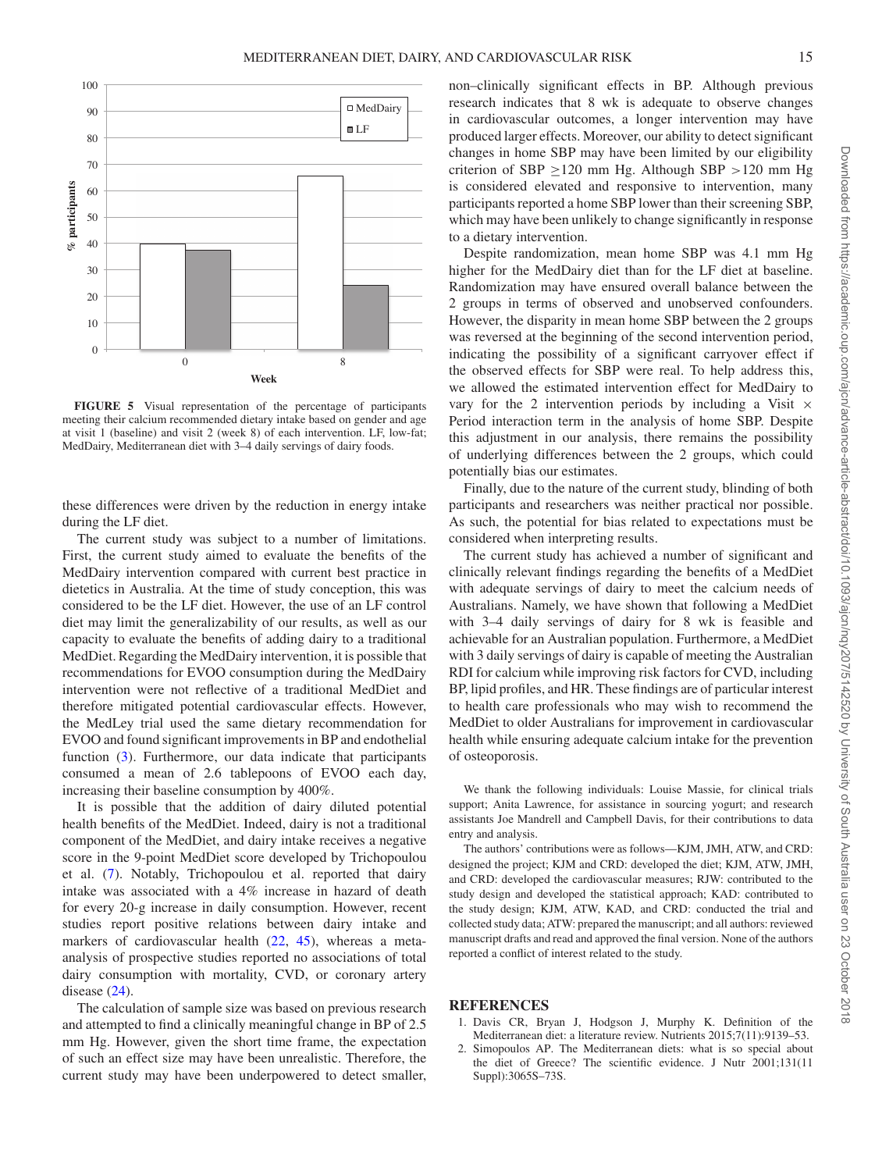<span id="page-14-2"></span>

**FIGURE 5** Visual representation of the percentage of participants meeting their calcium recommended dietary intake based on gender and age at visit 1 (baseline) and visit 2 (week 8) of each intervention. LF, low-fat; MedDairy, Mediterranean diet with 3–4 daily servings of dairy foods.

these differences were driven by the reduction in energy intake during the LF diet.

The current study was subject to a number of limitations. First, the current study aimed to evaluate the benefits of the MedDairy intervention compared with current best practice in dietetics in Australia. At the time of study conception, this was considered to be the LF diet. However, the use of an LF control diet may limit the generalizability of our results, as well as our capacity to evaluate the benefits of adding dairy to a traditional MedDiet. Regarding the MedDairy intervention, it is possible that recommendations for EVOO consumption during the MedDairy intervention were not reflective of a traditional MedDiet and therefore mitigated potential cardiovascular effects. However, the MedLey trial used the same dietary recommendation for EVOO and found significant improvements in BP and endothelial function [\(3\)](#page-15-0). Furthermore, our data indicate that participants consumed a mean of 2.6 tablepoons of EVOO each day, increasing their baseline consumption by 400%.

It is possible that the addition of dairy diluted potential health benefits of the MedDiet. Indeed, dairy is not a traditional component of the MedDiet, and dairy intake receives a negative score in the 9-point MedDiet score developed by Trichopoulou et al. [\(7\)](#page-15-21). Notably, Trichopoulou et al. reported that dairy intake was associated with a 4% increase in hazard of death for every 20-g increase in daily consumption. However, recent studies report positive relations between dairy intake and markers of cardiovascular health [\(22,](#page-15-31) [45\)](#page-16-4), whereas a metaanalysis of prospective studies reported no associations of total dairy consumption with mortality, CVD, or coronary artery disease  $(24)$ .

The calculation of sample size was based on previous research and attempted to find a clinically meaningful change in BP of 2.5 mm Hg. However, given the short time frame, the expectation of such an effect size may have been unrealistic. Therefore, the current study may have been underpowered to detect smaller, non–clinically significant effects in BP. Although previous research indicates that 8 wk is adequate to observe changes in cardiovascular outcomes, a longer intervention may have produced larger effects. Moreover, our ability to detect significant changes in home SBP may have been limited by our eligibility criterion of SBP  $\geq$ 120 mm Hg. Although SBP  $>$ 120 mm Hg is considered elevated and responsive to intervention, many participants reported a home SBP lower than their screening SBP, which may have been unlikely to change significantly in response to a dietary intervention.

Despite randomization, mean home SBP was 4.1 mm Hg higher for the MedDairy diet than for the LF diet at baseline. Randomization may have ensured overall balance between the 2 groups in terms of observed and unobserved confounders. However, the disparity in mean home SBP between the 2 groups was reversed at the beginning of the second intervention period, indicating the possibility of a significant carryover effect if the observed effects for SBP were real. To help address this, we allowed the estimated intervention effect for MedDairy to vary for the 2 intervention periods by including a Visit  $\times$ Period interaction term in the analysis of home SBP. Despite this adjustment in our analysis, there remains the possibility of underlying differences between the 2 groups, which could potentially bias our estimates.

Finally, due to the nature of the current study, blinding of both participants and researchers was neither practical nor possible. As such, the potential for bias related to expectations must be considered when interpreting results.

The current study has achieved a number of significant and clinically relevant findings regarding the benefits of a MedDiet with adequate servings of dairy to meet the calcium needs of Australians. Namely, we have shown that following a MedDiet with 3–4 daily servings of dairy for 8 wk is feasible and achievable for an Australian population. Furthermore, a MedDiet with 3 daily servings of dairy is capable of meeting the Australian RDI for calcium while improving risk factors for CVD, including BP, lipid profiles, and HR. These findings are of particular interest to health care professionals who may wish to recommend the MedDiet to older Australians for improvement in cardiovascular health while ensuring adequate calcium intake for the prevention of osteoporosis.

We thank the following individuals: Louise Massie, for clinical trials support; Anita Lawrence, for assistance in sourcing yogurt; and research assistants Joe Mandrell and Campbell Davis, for their contributions to data entry and analysis.

The authors' contributions were as follows—KJM, JMH, ATW, and CRD: designed the project; KJM and CRD: developed the diet; KJM, ATW, JMH, and CRD: developed the cardiovascular measures; RJW: contributed to the study design and developed the statistical approach; KAD: contributed to the study design; KJM, ATW, KAD, and CRD: conducted the trial and collected study data; ATW: prepared the manuscript; and all authors: reviewed manuscript drafts and read and approved the final version. None of the authors reported a conflict of interest related to the study.

#### **REFERENCES**

- <span id="page-14-0"></span>1. Davis CR, Bryan J, Hodgson J, Murphy K. Definition of the Mediterranean diet: a literature review. Nutrients 2015;7(11):9139–53.
- <span id="page-14-1"></span>2. Simopoulos AP. The Mediterranean diets: what is so special about the diet of Greece? The scientific evidence. J Nutr 2001;131(11 Suppl):3065S–73S.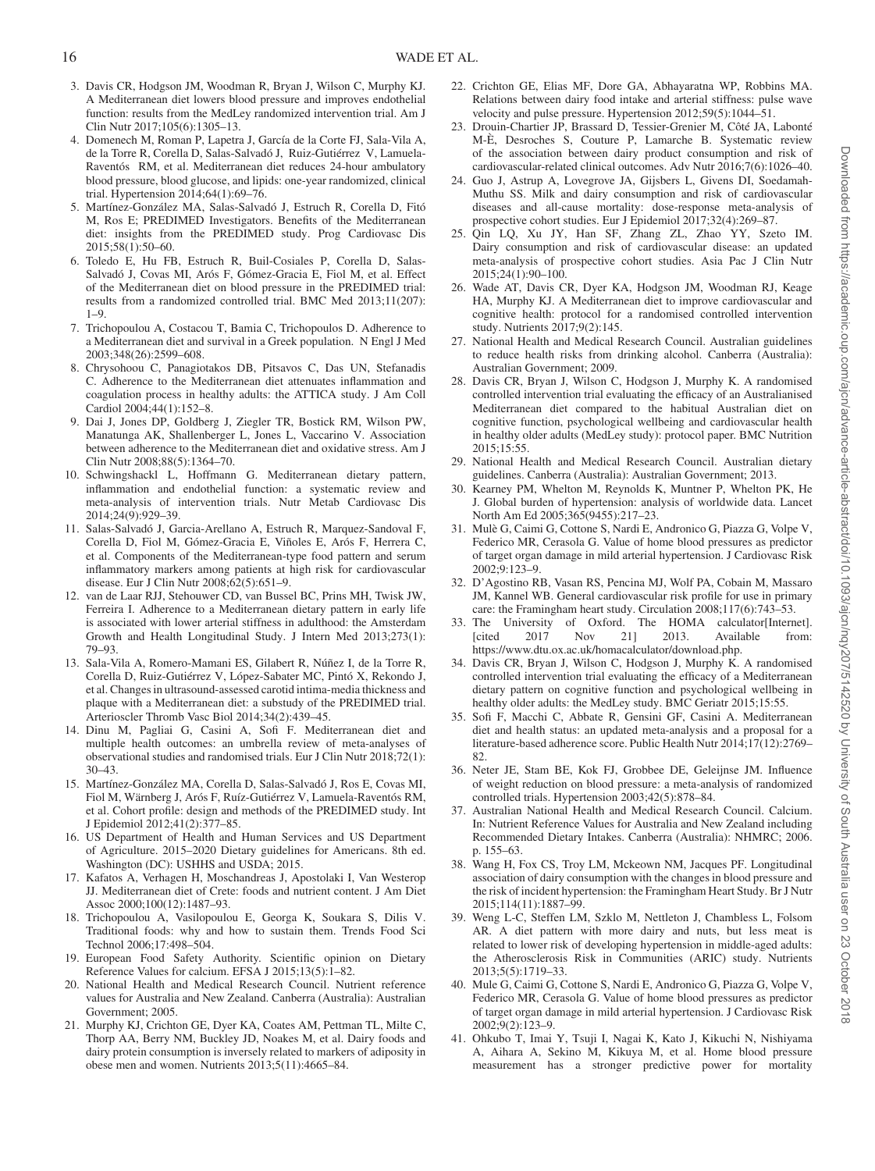- <span id="page-15-0"></span>3. Davis CR, Hodgson JM, Woodman R, Bryan J, Wilson C, Murphy KJ. A Mediterranean diet lowers blood pressure and improves endothelial function: results from the MedLey randomized intervention trial. Am J Clin Nutr 2017;105(6):1305–13.
- <span id="page-15-30"></span>4. Domenech M, Roman P, Lapetra J, García de la Corte FJ, Sala-Vila A, de la Torre R, Corella D, Salas-Salvadó J, Ruiz-Gutiérrez V, Lamuela-Raventós RM, et al. Mediterranean diet reduces 24-hour ambulatory blood pressure, blood glucose, and lipids: one-year randomized, clinical trial. Hypertension 2014;64(1):69–76.
- <span id="page-15-4"></span>5. Martínez-González MA, Salas-Salvadó J, Estruch R, Corella D, Fitó M, Ros E; PREDIMED Investigators. Benefits of the Mediterranean diet: insights from the PREDIMED study. Prog Cardiovasc Dis 2015;58(1):50–60.
- <span id="page-15-25"></span>6. Toledo E, Hu FB, Estruch R, Buil-Cosiales P, Corella D, Salas-Salvadó J, Covas MI, Arós F, Gómez-Gracia E, Fiol M, et al. Effect of the Mediterranean diet on blood pressure in the PREDIMED trial: results from a randomized controlled trial. BMC Med 2013;11(207): 1–9.
- <span id="page-15-21"></span>7. Trichopoulou A, Costacou T, Bamia C, Trichopoulos D. Adherence to a Mediterranean diet and survival in a Greek population. N Engl J Med 2003;348(26):2599–608.
- <span id="page-15-1"></span>8. Chrysohoou C, Panagiotakos DB, Pitsavos C, Das UN, Stefanadis C. Adherence to the Mediterranean diet attenuates inflammation and coagulation process in healthy adults: the ATTICA study. J Am Coll Cardiol 2004;44(1):152–8.
- 9. Dai J, Jones DP, Goldberg J, Ziegler TR, Bostick RM, Wilson PW, Manatunga AK, Shallenberger L, Jones L, Vaccarino V. Association between adherence to the Mediterranean diet and oxidative stress. Am J Clin Nutr 2008;88(5):1364–70.
- 10. Schwingshackl L, Hoffmann G. Mediterranean dietary pattern, inflammation and endothelial function: a systematic review and meta-analysis of intervention trials. Nutr Metab Cardiovasc Dis 2014;24(9):929–39.
- <span id="page-15-2"></span>11. Salas-Salvadó J, Garcia-Arellano A, Estruch R, Marquez-Sandoval F, Corella D, Fiol M, Gómez-Gracia E, Viñoles E, Arós F, Herrera C, et al. Components of the Mediterranean-type food pattern and serum inflammatory markers among patients at high risk for cardiovascular disease. Eur J Clin Nutr 2008;62(5):651–9.
- 12. van de Laar RJJ, Stehouwer CD, van Bussel BC, Prins MH, Twisk JW, Ferreira I. Adherence to a Mediterranean dietary pattern in early life is associated with lower arterial stiffness in adulthood: the Amsterdam Growth and Health Longitudinal Study. J Intern Med 2013;273(1): 79–93.
- 13. Sala-Vila A, Romero-Mamani ES, Gilabert R, Núñez I, de la Torre R, Corella D, Ruiz-Gutiérrez V, López-Sabater MC, Pintó X, Rekondo J, et al. Changes in ultrasound-assessed carotid intima-media thickness and plaque with a Mediterranean diet: a substudy of the PREDIMED trial. Arterioscler Thromb Vasc Biol 2014;34(2):439–45.
- 14. Dinu M, Pagliai G, Casini A, Sofi F. Mediterranean diet and multiple health outcomes: an umbrella review of meta-analyses of observational studies and randomised trials. Eur J Clin Nutr 2018;72(1): 30–43.
- <span id="page-15-3"></span>15. Martínez-González MA, Corella D, Salas-Salvadó J, Ros E, Covas MI, Fiol M, Wärnberg J, Arós F, Ruíz-Gutiérrez V, Lamuela-Raventós RM, et al. Cohort profile: design and methods of the PREDIMED study. Int J Epidemiol 2012;41(2):377–85.
- <span id="page-15-5"></span>16. US Department of Health and Human Services and US Department of Agriculture. 2015–2020 Dietary guidelines for Americans. 8th ed. Washington (DC): USHHS and USDA; 2015.
- <span id="page-15-6"></span>17. Kafatos A, Verhagen H, Moschandreas J, Apostolaki I, Van Westerop JJ. Mediterranean diet of Crete: foods and nutrient content. J Am Diet Assoc 2000;100(12):1487–93.
- <span id="page-15-7"></span>18. Trichopoulou A, Vasilopoulou E, Georga K, Soukara S, Dilis V. Traditional foods: why and how to sustain them. Trends Food Sci Technol 2006;17:498–504.
- <span id="page-15-8"></span>19. European Food Safety Authority. Scientific opinion on Dietary Reference Values for calcium. EFSA J 2015;13(5):1–82.
- <span id="page-15-9"></span>20. National Health and Medical Research Council. Nutrient reference values for Australia and New Zealand. Canberra (Australia): Australian Government; 2005.
- <span id="page-15-10"></span>21. Murphy KJ, Crichton GE, Dyer KA, Coates AM, Pettman TL, Milte C, Thorp AA, Berry NM, Buckley JD, Noakes M, et al. Dairy foods and dairy protein consumption is inversely related to markers of adiposity in obese men and women. Nutrients 2013;5(11):4665–84.
- <span id="page-15-31"></span>22. Crichton GE, Elias MF, Dore GA, Abhayaratna WP, Robbins MA. Relations between dairy food intake and arterial stiffness: pulse wave velocity and pulse pressure. Hypertension 2012;59(5):1044–51.
- <span id="page-15-11"></span>23. Drouin-Chartier JP, Brassard D, Tessier-Grenier M, Côté JA, Labonté M-È, Desroches S, Couture P, Lamarche B. Systematic review of the association between dairy product consumption and risk of cardiovascular-related clinical outcomes. Adv Nutr 2016;7(6):1026–40.
- <span id="page-15-32"></span>24. Guo J, Astrup A, Lovegrove JA, Gijsbers L, Givens DI, Soedamah-Muthu SS. Milk and dairy consumption and risk of cardiovascular diseases and all-cause mortality: dose-response meta-analysis of prospective cohort studies. Eur J Epidemiol 2017;32(4):269–87.
- 25. Qin LQ, Xu JY, Han SF, Zhang ZL, Zhao YY, Szeto IM. Dairy consumption and risk of cardiovascular disease: an updated meta-analysis of prospective cohort studies. Asia Pac J Clin Nutr  $2015:24(1):90-100.$
- <span id="page-15-12"></span>26. Wade AT, Davis CR, Dyer KA, Hodgson JM, Woodman RJ, Keage HA, Murphy KJ. A Mediterranean diet to improve cardiovascular and cognitive health: protocol for a randomised controlled intervention study. Nutrients 2017;9(2):145.
- <span id="page-15-13"></span>27. National Health and Medical Research Council. Australian guidelines to reduce health risks from drinking alcohol. Canberra (Australia): Australian Government; 2009.
- <span id="page-15-14"></span>28. Davis CR, Bryan J, Wilson C, Hodgson J, Murphy K. A randomised controlled intervention trial evaluating the efficacy of an Australianised Mediterranean diet compared to the habitual Australian diet on cognitive function, psychological wellbeing and cardiovascular health in healthy older adults (MedLey study): protocol paper. BMC Nutrition 2015;15:55.
- <span id="page-15-15"></span>29. National Health and Medical Research Council. Australian dietary guidelines. Canberra (Australia): Australian Government; 2013.
- <span id="page-15-16"></span>30. Kearney PM, Whelton M, Reynolds K, Muntner P, Whelton PK, He J. Global burden of hypertension: analysis of worldwide data. Lancet North Am Ed 2005;365(9455):217–23.
- <span id="page-15-17"></span>31. Mulè G, Caimi G, Cottone S, Nardi E, Andronico G, Piazza G, Volpe V, Federico MR, Cerasola G. Value of home blood pressures as predictor of target organ damage in mild arterial hypertension. J Cardiovasc Risk 2002;9:123–9.
- <span id="page-15-18"></span>32. D'Agostino RB, Vasan RS, Pencina MJ, Wolf PA, Cobain M, Massaro JM, Kannel WB. General cardiovascular risk profile for use in primary care: the Framingham heart study. Circulation 2008;117(6):743–53.
- <span id="page-15-19"></span>33. The University of Oxford. The HOMA calculator[Internet].<br>[cited 2017 Nov 21] 2013. Available from: Available from: https://www.dtu.ox.ac.uk/homacalculator/download.php.
- <span id="page-15-20"></span>34. Davis CR, Bryan J, Wilson C, Hodgson J, Murphy K. A randomised controlled intervention trial evaluating the efficacy of a Mediterranean dietary pattern on cognitive function and psychological wellbeing in healthy older adults: the MedLey study. BMC Geriatr 2015;15:55.
- <span id="page-15-22"></span>35. Sofi F, Macchi C, Abbate R, Gensini GF, Casini A. Mediterranean diet and health status: an updated meta-analysis and a proposal for a literature-based adherence score. Public Health Nutr 2014;17(12):2769– 82.
- <span id="page-15-23"></span>36. Neter JE, Stam BE, Kok FJ, Grobbee DE, Geleijnse JM. Influence of weight reduction on blood pressure: a meta-analysis of randomized controlled trials. Hypertension 2003;42(5):878–84.
- <span id="page-15-24"></span>37. Australian National Health and Medical Research Council. Calcium. In: Nutrient Reference Values for Australia and New Zealand including Recommended Dietary Intakes. Canberra (Australia): NHMRC; 2006. p. 155–63.
- <span id="page-15-26"></span>38. Wang H, Fox CS, Troy LM, Mckeown NM, Jacques PF. Longitudinal association of dairy consumption with the changes in blood pressure and the risk of incident hypertension: the Framingham Heart Study. Br J Nutr 2015;114(11):1887–99.
- <span id="page-15-27"></span>39. Weng L-C, Steffen LM, Szklo M, Nettleton J, Chambless L, Folsom AR. A diet pattern with more dairy and nuts, but less meat is related to lower risk of developing hypertension in middle-aged adults: the Atherosclerosis Risk in Communities (ARIC) study. Nutrients 2013;5(5):1719–33.
- <span id="page-15-28"></span>40. Mule G, Caimi G, Cottone S, Nardi E, Andronico G, Piazza G, Volpe V, Federico MR, Cerasola G. Value of home blood pressures as predictor of target organ damage in mild arterial hypertension. J Cardiovasc Risk 2002;9(2):123–9.
- <span id="page-15-29"></span>41. Ohkubo T, Imai Y, Tsuji I, Nagai K, Kato J, Kikuchi N, Nishiyama A, Aihara A, Sekino M, Kikuya M, et al. Home blood pressure measurement has a stronger predictive power for mortality